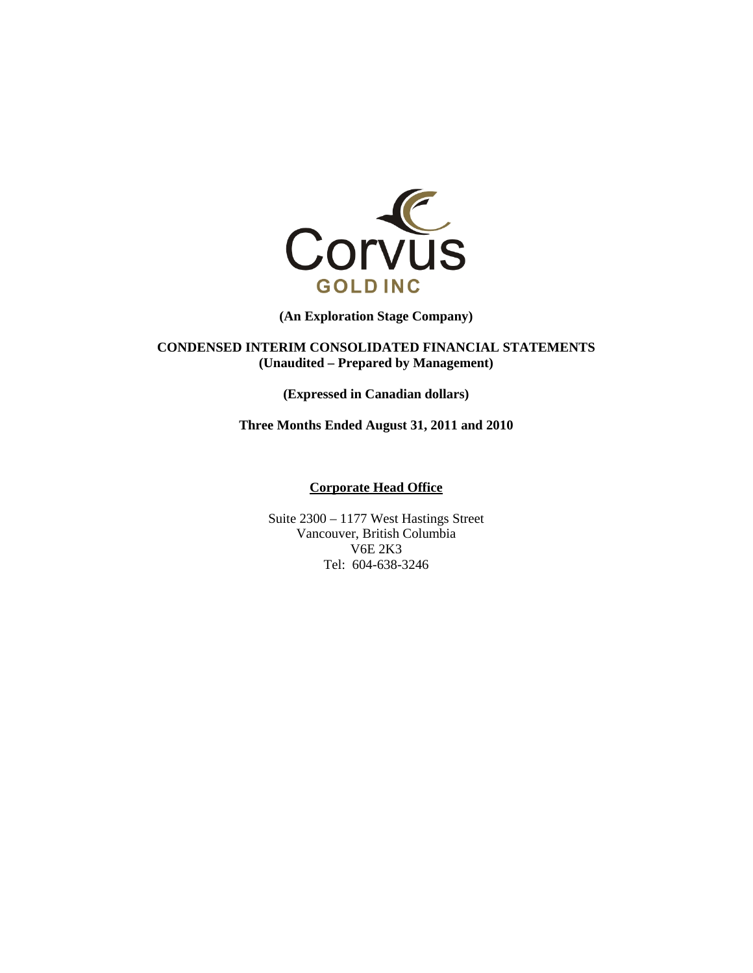

**(An Exploration Stage Company)** 

**CONDENSED INTERIM CONSOLIDATED FINANCIAL STATEMENTS (Unaudited – Prepared by Management)** 

**(Expressed in Canadian dollars)** 

**Three Months Ended August 31, 2011 and 2010** 

## **Corporate Head Office**

Suite 2300 – 1177 West Hastings Street Vancouver, British Columbia V6E 2K3 Tel: 604-638-3246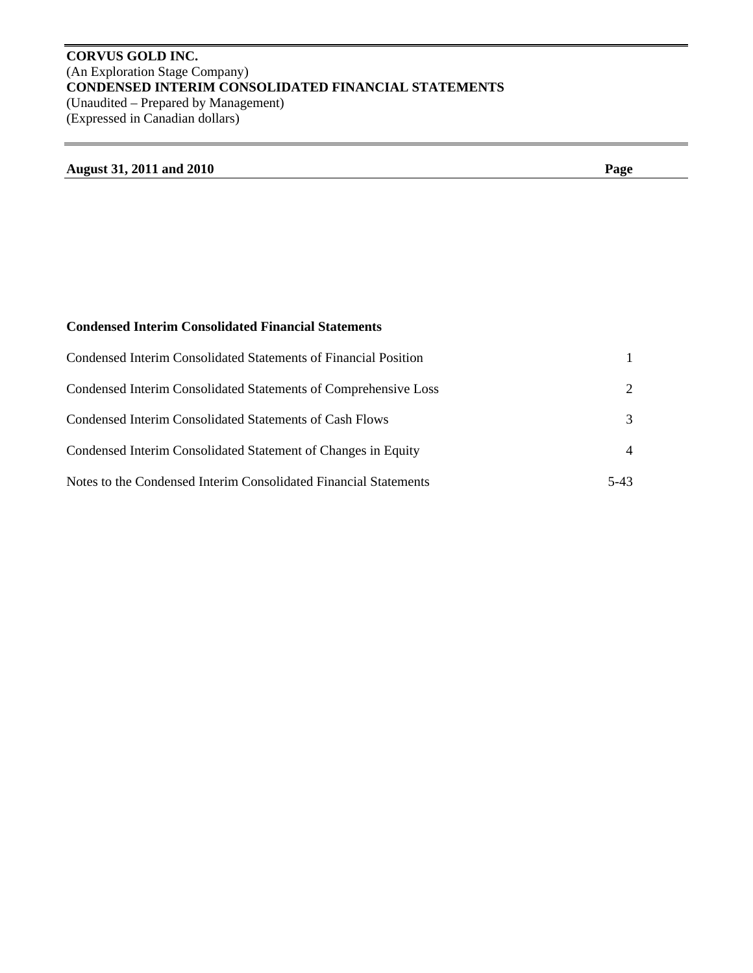# **CORVUS GOLD INC.**  (An Exploration Stage Company) **CONDENSED INTERIM CONSOLIDATED FINANCIAL STATEMENTS**  (Unaudited – Prepared by Management) (Expressed in Canadian dollars)

# **August 31, 2011 and 2010 Page**

# **Condensed Interim Consolidated Financial Statements**

| Condensed Interim Consolidated Statements of Financial Position  |                             |
|------------------------------------------------------------------|-----------------------------|
| Condensed Interim Consolidated Statements of Comprehensive Loss  | $\mathcal{D}_{\mathcal{L}}$ |
| Condensed Interim Consolidated Statements of Cash Flows          | 3                           |
| Condensed Interim Consolidated Statement of Changes in Equity    | $\overline{4}$              |
| Notes to the Condensed Interim Consolidated Financial Statements | $5-43$                      |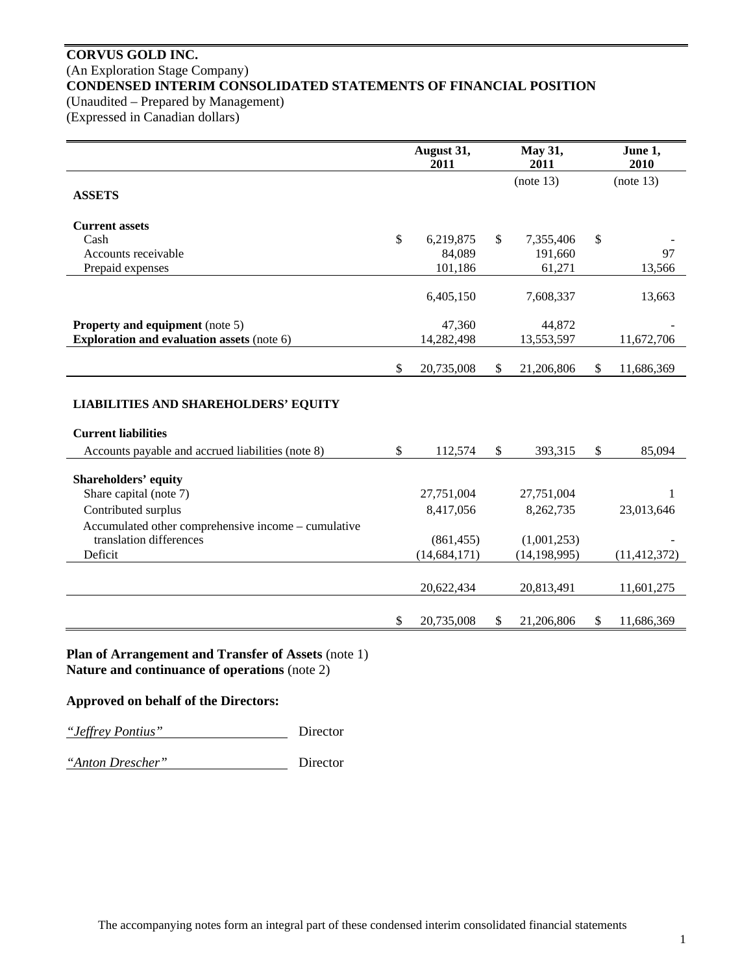# **CORVUS GOLD INC.**  (An Exploration Stage Company) **CONDENSED INTERIM CONSOLIDATED STATEMENTS OF FINANCIAL POSITION**

(Unaudited – Prepared by Management)

(Expressed in Canadian dollars)

|                                                                                           | August 31,<br>2011           | May 31,<br>2011               | June 1,<br>2010  |
|-------------------------------------------------------------------------------------------|------------------------------|-------------------------------|------------------|
| <b>ASSETS</b>                                                                             |                              | (note 13)                     | (note 13)        |
| <b>Current assets</b><br>Cash<br>Accounts receivable                                      | \$<br>6,219,875<br>84,089    | \$<br>7,355,406<br>191,660    | \$<br>97         |
| Prepaid expenses                                                                          | 101,186                      | 61,271                        | 13,566           |
|                                                                                           | 6,405,150                    | 7,608,337                     | 13,663           |
| <b>Property and equipment</b> (note 5)                                                    | 47,360                       | 44,872                        |                  |
| <b>Exploration and evaluation assets (note 6)</b>                                         | 14,282,498                   | 13,553,597                    | 11,672,706       |
|                                                                                           | \$<br>20,735,008             | \$<br>21,206,806              | \$<br>11,686,369 |
| <b>LIABILITIES AND SHAREHOLDERS' EQUITY</b>                                               |                              |                               |                  |
| <b>Current liabilities</b>                                                                |                              |                               |                  |
| Accounts payable and accrued liabilities (note 8)                                         | \$<br>112,574                | \$<br>393,315                 | \$<br>85,094     |
| <b>Shareholders' equity</b><br>Share capital (note 7)                                     | 27,751,004                   | 27,751,004                    | 1                |
| Contributed surplus                                                                       | 8,417,056                    | 8,262,735                     | 23,013,646       |
| Accumulated other comprehensive income - cumulative<br>translation differences<br>Deficit | (861, 455)<br>(14, 684, 171) | (1,001,253)<br>(14, 198, 995) | (11, 412, 372)   |
|                                                                                           | 20,622,434                   | 20,813,491                    | 11,601,275       |
|                                                                                           | \$<br>20,735,008             | \$<br>21,206,806              | \$<br>11,686,369 |

**Plan of Arrangement and Transfer of Assets** (note 1) **Nature and continuance of operations** (note 2)

**Approved on behalf of the Directors:** 

*"Jeffrey Pontius"* Director

*"Anton Drescher"* Director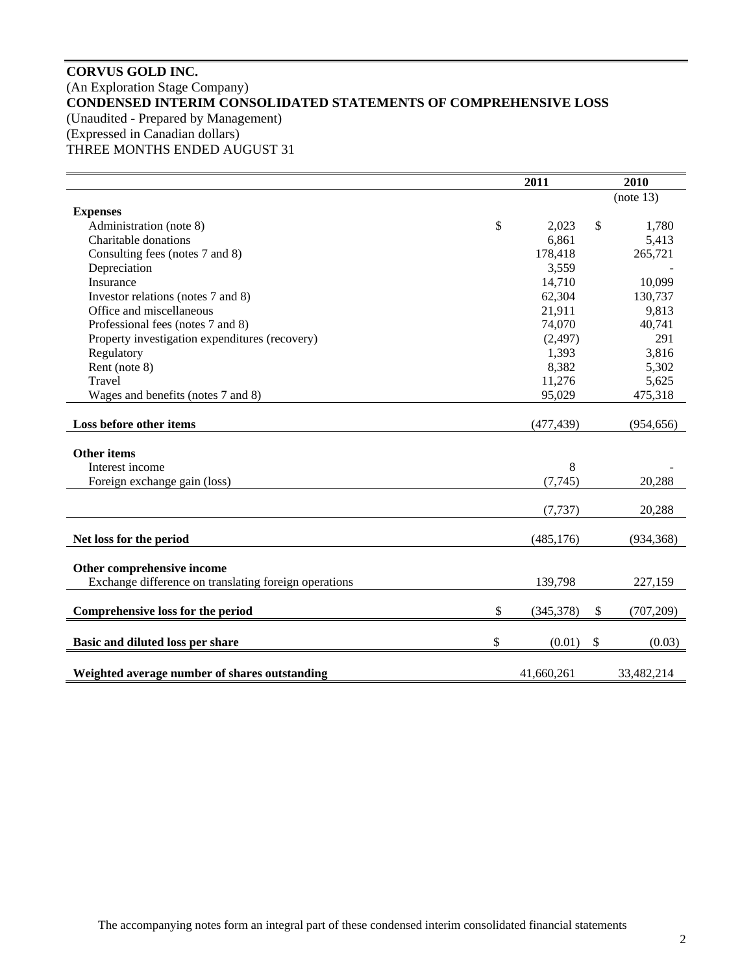# **CORVUS GOLD INC.**  (An Exploration Stage Company) **CONDENSED INTERIM CONSOLIDATED STATEMENTS OF COMPREHENSIVE LOSS**  (Unaudited - Prepared by Management) (Expressed in Canadian dollars) THREE MONTHS ENDED AUGUST 31

|                                                       | 2011             | 2010 |            |
|-------------------------------------------------------|------------------|------|------------|
|                                                       |                  |      | (note 13)  |
| <b>Expenses</b>                                       |                  |      |            |
| Administration (note 8)                               | \$<br>2,023      | \$   | 1,780      |
| Charitable donations                                  | 6,861            |      | 5,413      |
| Consulting fees (notes 7 and 8)                       | 178,418          |      | 265,721    |
| Depreciation                                          | 3,559            |      |            |
| Insurance                                             | 14,710           |      | 10,099     |
| Investor relations (notes 7 and 8)                    | 62,304           |      | 130,737    |
| Office and miscellaneous                              | 21,911           |      | 9,813      |
| Professional fees (notes 7 and 8)                     | 74,070           |      | 40,741     |
| Property investigation expenditures (recovery)        | (2, 497)         |      | 291        |
| Regulatory                                            | 1,393            |      | 3,816      |
| Rent (note 8)                                         | 8,382            |      | 5,302      |
| Travel                                                | 11,276           |      | 5,625      |
| Wages and benefits (notes 7 and 8)                    | 95,029           |      | 475,318    |
|                                                       |                  |      |            |
| Loss before other items                               | (477, 439)       |      | (954, 656) |
|                                                       |                  |      |            |
| <b>Other items</b>                                    |                  |      |            |
| Interest income                                       | 8                |      |            |
| Foreign exchange gain (loss)                          | (7,745)          |      | 20,288     |
|                                                       |                  |      |            |
|                                                       | (7, 737)         |      | 20,288     |
|                                                       |                  |      |            |
| Net loss for the period                               | (485, 176)       |      | (934, 368) |
|                                                       |                  |      |            |
| Other comprehensive income                            |                  |      |            |
| Exchange difference on translating foreign operations | 139,798          |      | 227,159    |
| Comprehensive loss for the period                     | \$<br>(345, 378) | \$   | (707, 209) |
|                                                       |                  |      |            |
| Basic and diluted loss per share                      | \$<br>(0.01)     | \$   | (0.03)     |
|                                                       |                  |      |            |
| Weighted average number of shares outstanding         | 41,660,261       |      | 33,482,214 |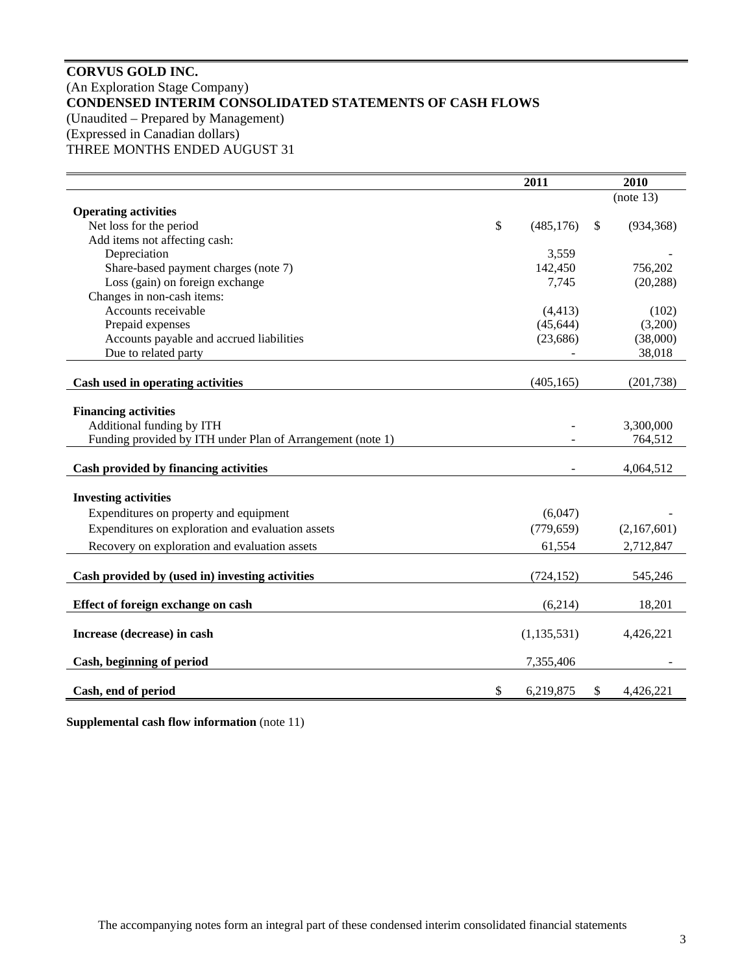# **CORVUS GOLD INC.**  (An Exploration Stage Company) **CONDENSED INTERIM CONSOLIDATED STATEMENTS OF CASH FLOWS**  (Unaudited – Prepared by Management) (Expressed in Canadian dollars) THREE MONTHS ENDED AUGUST 31

|                                                            | 2011             | 2010             |
|------------------------------------------------------------|------------------|------------------|
|                                                            |                  | (note 13)        |
| <b>Operating activities</b>                                |                  |                  |
| Net loss for the period                                    | \$<br>(485, 176) | \$<br>(934, 368) |
| Add items not affecting cash:                              |                  |                  |
| Depreciation                                               | 3,559            |                  |
| Share-based payment charges (note 7)                       | 142,450          | 756,202          |
| Loss (gain) on foreign exchange                            | 7,745            | (20, 288)        |
| Changes in non-cash items:                                 |                  |                  |
| Accounts receivable                                        | (4, 413)         | (102)            |
| Prepaid expenses                                           | (45, 644)        | (3,200)          |
| Accounts payable and accrued liabilities                   | (23,686)         | (38,000)         |
| Due to related party                                       |                  | 38,018           |
| Cash used in operating activities                          | (405, 165)       | (201, 738)       |
|                                                            |                  |                  |
| <b>Financing activities</b>                                |                  |                  |
| Additional funding by ITH                                  |                  | 3,300,000        |
| Funding provided by ITH under Plan of Arrangement (note 1) |                  | 764,512          |
| Cash provided by financing activities                      |                  | 4,064,512        |
|                                                            |                  |                  |
| <b>Investing activities</b>                                |                  |                  |
| Expenditures on property and equipment                     | (6,047)          |                  |
| Expenditures on exploration and evaluation assets          | (779, 659)       | (2,167,601)      |
| Recovery on exploration and evaluation assets              | 61,554           | 2,712,847        |
|                                                            |                  |                  |
| Cash provided by (used in) investing activities            | (724, 152)       | 545,246          |
| Effect of foreign exchange on cash                         | (6,214)          | 18,201           |
|                                                            |                  |                  |
| Increase (decrease) in cash                                | (1, 135, 531)    | 4,426,221        |
| Cash, beginning of period                                  | 7,355,406        |                  |
| Cash, end of period                                        | \$<br>6,219,875  | \$<br>4,426,221  |

**Supplemental cash flow information** (note 11)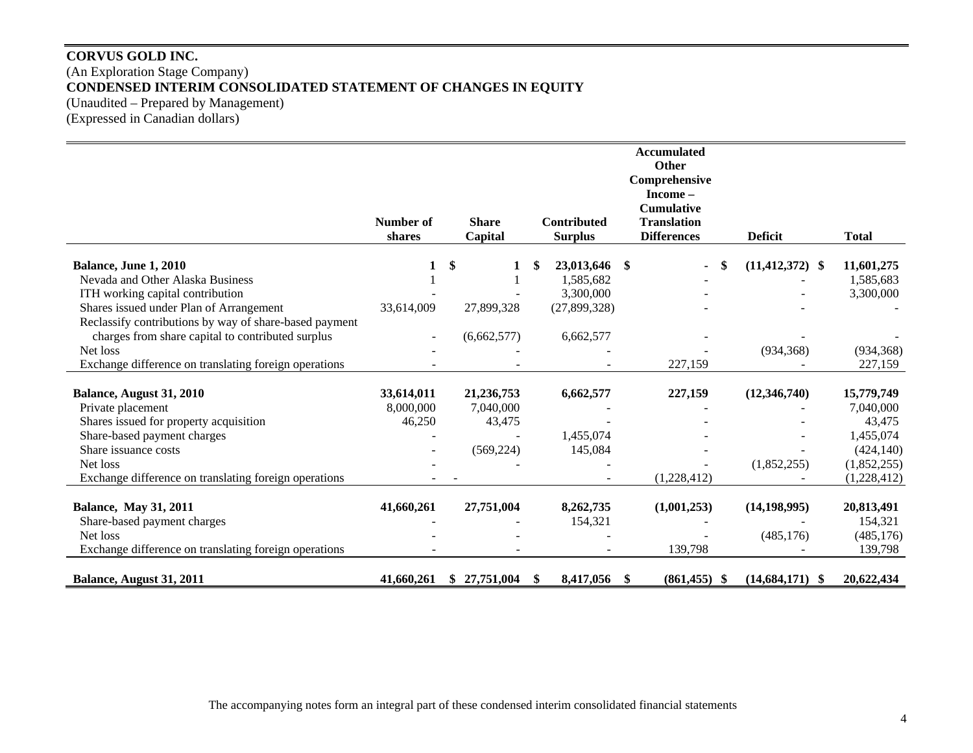# **CORVUS GOLD INC.**  (An Exploration Stage Company) **CONDENSED INTERIM CONSOLIDATED STATEMENT OF CHANGES IN EQUITY**  (Unaudited – Prepared by Management) (Expressed in Canadian dollars)

|                                                        |            |              |     |                    | <b>Accumulated</b>        |                           |              |
|--------------------------------------------------------|------------|--------------|-----|--------------------|---------------------------|---------------------------|--------------|
|                                                        |            |              |     |                    | Other                     |                           |              |
|                                                        |            |              |     |                    | Comprehensive<br>Income - |                           |              |
|                                                        |            |              |     |                    | <b>Cumulative</b>         |                           |              |
|                                                        | Number of  | <b>Share</b> |     | <b>Contributed</b> | <b>Translation</b>        |                           |              |
|                                                        | shares     | Capital      |     | <b>Surplus</b>     | <b>Differences</b>        | <b>Deficit</b>            | <b>Total</b> |
|                                                        |            |              |     |                    |                           |                           |              |
| Balance, June 1, 2010                                  | 1          | \$           | \$. | 23,013,646         | -\$                       | \$<br>$(11, 412, 372)$ \$ | 11,601,275   |
| Nevada and Other Alaska Business                       |            |              |     | 1,585,682          |                           |                           | 1,585,683    |
| ITH working capital contribution                       |            |              |     | 3,300,000          |                           |                           | 3,300,000    |
| Shares issued under Plan of Arrangement                | 33,614,009 | 27,899,328   |     | (27,899,328)       |                           |                           |              |
| Reclassify contributions by way of share-based payment |            |              |     |                    |                           |                           |              |
| charges from share capital to contributed surplus      | $\sim$     | (6,662,577)  |     | 6,662,577          |                           |                           |              |
| Net loss                                               |            |              |     |                    |                           | (934, 368)                | (934, 368)   |
| Exchange difference on translating foreign operations  |            |              |     |                    | 227,159                   |                           | 227,159      |
| Balance, August 31, 2010                               | 33,614,011 | 21,236,753   |     | 6,662,577          | 227,159                   | (12,346,740)              | 15,779,749   |
| Private placement                                      | 8,000,000  | 7,040,000    |     |                    |                           |                           | 7,040,000    |
| Shares issued for property acquisition                 | 46,250     | 43,475       |     |                    |                           |                           | 43,475       |
| Share-based payment charges                            |            |              |     | 1,455,074          |                           |                           | 1,455,074    |
| Share issuance costs                                   |            | (569, 224)   |     |                    |                           |                           | (424, 140)   |
| Net loss                                               |            |              |     | 145,084            |                           |                           |              |
|                                                        |            |              |     |                    |                           | (1,852,255)               | (1,852,255)  |
| Exchange difference on translating foreign operations  |            |              |     |                    | (1,228,412)               |                           | (1,228,412)  |
| <b>Balance, May 31, 2011</b>                           | 41,660,261 | 27,751,004   |     | 8,262,735          | (1,001,253)               | (14, 198, 995)            | 20,813,491   |
| Share-based payment charges                            |            |              |     | 154,321            |                           |                           | 154,321      |
| Net loss                                               |            |              |     |                    |                           | (485, 176)                | (485, 176)   |
| Exchange difference on translating foreign operations  |            |              |     |                    | 139,798                   |                           | 139,798      |
| Balance, August 31, 2011                               | 41,660,261 | \$27,751,004 | -S  | 8,417,056          | $(861, 455)$ \$<br>-S     | $(14,684,171)$ \$         | 20,622,434   |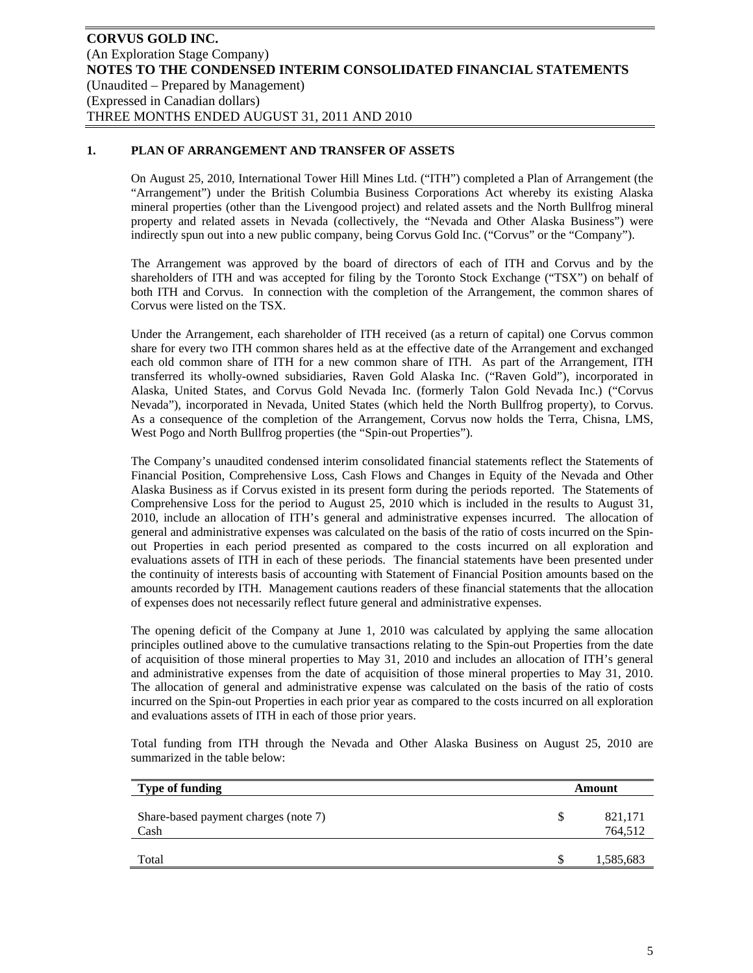## **1. PLAN OF ARRANGEMENT AND TRANSFER OF ASSETS**

On August 25, 2010, International Tower Hill Mines Ltd. ("ITH") completed a Plan of Arrangement (the "Arrangement") under the British Columbia Business Corporations Act whereby its existing Alaska mineral properties (other than the Livengood project) and related assets and the North Bullfrog mineral property and related assets in Nevada (collectively, the "Nevada and Other Alaska Business") were indirectly spun out into a new public company, being Corvus Gold Inc. ("Corvus" or the "Company").

The Arrangement was approved by the board of directors of each of ITH and Corvus and by the shareholders of ITH and was accepted for filing by the Toronto Stock Exchange ("TSX") on behalf of both ITH and Corvus. In connection with the completion of the Arrangement, the common shares of Corvus were listed on the TSX.

Under the Arrangement, each shareholder of ITH received (as a return of capital) one Corvus common share for every two ITH common shares held as at the effective date of the Arrangement and exchanged each old common share of ITH for a new common share of ITH. As part of the Arrangement, ITH transferred its wholly-owned subsidiaries, Raven Gold Alaska Inc. ("Raven Gold"), incorporated in Alaska, United States, and Corvus Gold Nevada Inc. (formerly Talon Gold Nevada Inc.) ("Corvus Nevada"), incorporated in Nevada, United States (which held the North Bullfrog property), to Corvus. As a consequence of the completion of the Arrangement, Corvus now holds the Terra, Chisna, LMS, West Pogo and North Bullfrog properties (the "Spin-out Properties").

The Company's unaudited condensed interim consolidated financial statements reflect the Statements of Financial Position, Comprehensive Loss, Cash Flows and Changes in Equity of the Nevada and Other Alaska Business as if Corvus existed in its present form during the periods reported. The Statements of Comprehensive Loss for the period to August 25, 2010 which is included in the results to August 31, 2010, include an allocation of ITH's general and administrative expenses incurred. The allocation of general and administrative expenses was calculated on the basis of the ratio of costs incurred on the Spinout Properties in each period presented as compared to the costs incurred on all exploration and evaluations assets of ITH in each of these periods. The financial statements have been presented under the continuity of interests basis of accounting with Statement of Financial Position amounts based on the amounts recorded by ITH. Management cautions readers of these financial statements that the allocation of expenses does not necessarily reflect future general and administrative expenses.

The opening deficit of the Company at June 1, 2010 was calculated by applying the same allocation principles outlined above to the cumulative transactions relating to the Spin-out Properties from the date of acquisition of those mineral properties to May 31, 2010 and includes an allocation of ITH's general and administrative expenses from the date of acquisition of those mineral properties to May 31, 2010. The allocation of general and administrative expense was calculated on the basis of the ratio of costs incurred on the Spin-out Properties in each prior year as compared to the costs incurred on all exploration and evaluations assets of ITH in each of those prior years.

Total funding from ITH through the Nevada and Other Alaska Business on August 25, 2010 are summarized in the table below:

| Type of funding                              |   | Amount             |
|----------------------------------------------|---|--------------------|
| Share-based payment charges (note 7)<br>Cash | S | 821,171<br>764,512 |
| Total                                        |   | 1,585,683          |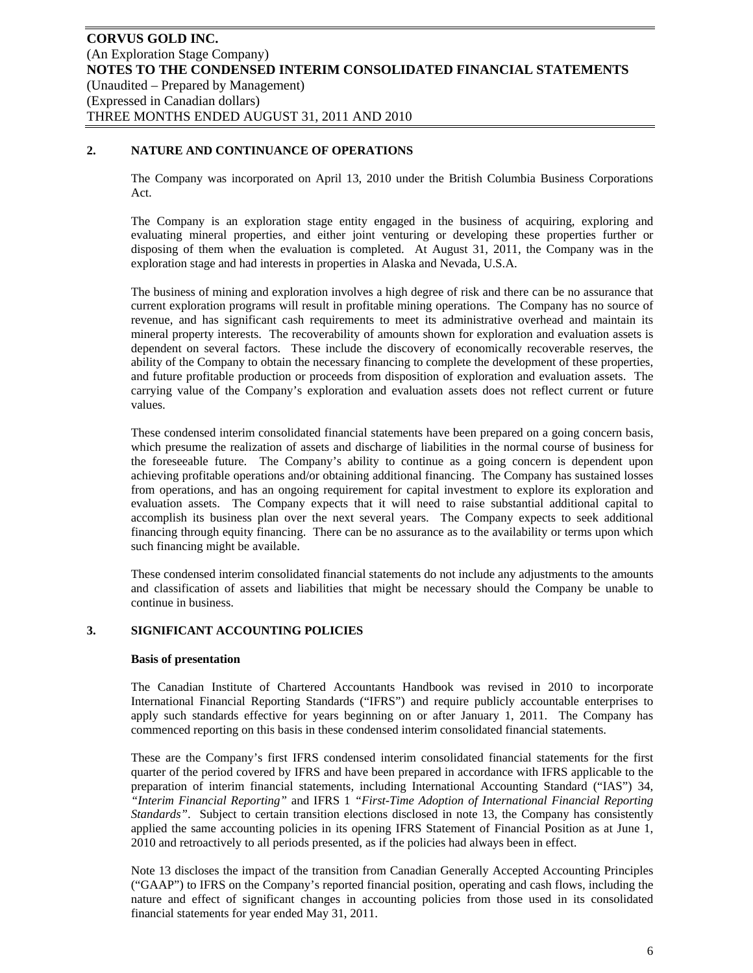## **2. NATURE AND CONTINUANCE OF OPERATIONS**

The Company was incorporated on April 13, 2010 under the British Columbia Business Corporations Act.

The Company is an exploration stage entity engaged in the business of acquiring, exploring and evaluating mineral properties, and either joint venturing or developing these properties further or disposing of them when the evaluation is completed. At August 31, 2011, the Company was in the exploration stage and had interests in properties in Alaska and Nevada, U.S.A.

The business of mining and exploration involves a high degree of risk and there can be no assurance that current exploration programs will result in profitable mining operations. The Company has no source of revenue, and has significant cash requirements to meet its administrative overhead and maintain its mineral property interests. The recoverability of amounts shown for exploration and evaluation assets is dependent on several factors. These include the discovery of economically recoverable reserves, the ability of the Company to obtain the necessary financing to complete the development of these properties, and future profitable production or proceeds from disposition of exploration and evaluation assets. The carrying value of the Company's exploration and evaluation assets does not reflect current or future values.

These condensed interim consolidated financial statements have been prepared on a going concern basis, which presume the realization of assets and discharge of liabilities in the normal course of business for the foreseeable future. The Company's ability to continue as a going concern is dependent upon achieving profitable operations and/or obtaining additional financing. The Company has sustained losses from operations, and has an ongoing requirement for capital investment to explore its exploration and evaluation assets. The Company expects that it will need to raise substantial additional capital to accomplish its business plan over the next several years. The Company expects to seek additional financing through equity financing. There can be no assurance as to the availability or terms upon which such financing might be available.

These condensed interim consolidated financial statements do not include any adjustments to the amounts and classification of assets and liabilities that might be necessary should the Company be unable to continue in business.

## **3. SIGNIFICANT ACCOUNTING POLICIES**

#### **Basis of presentation**

The Canadian Institute of Chartered Accountants Handbook was revised in 2010 to incorporate International Financial Reporting Standards ("IFRS") and require publicly accountable enterprises to apply such standards effective for years beginning on or after January 1, 2011. The Company has commenced reporting on this basis in these condensed interim consolidated financial statements.

These are the Company's first IFRS condensed interim consolidated financial statements for the first quarter of the period covered by IFRS and have been prepared in accordance with IFRS applicable to the preparation of interim financial statements, including International Accounting Standard ("IAS") 34, *"Interim Financial Reporting"* and IFRS 1 *"First-Time Adoption of International Financial Reporting Standards"*. Subject to certain transition elections disclosed in note 13, the Company has consistently applied the same accounting policies in its opening IFRS Statement of Financial Position as at June 1, 2010 and retroactively to all periods presented, as if the policies had always been in effect.

Note 13 discloses the impact of the transition from Canadian Generally Accepted Accounting Principles ("GAAP") to IFRS on the Company's reported financial position, operating and cash flows, including the nature and effect of significant changes in accounting policies from those used in its consolidated financial statements for year ended May 31, 2011.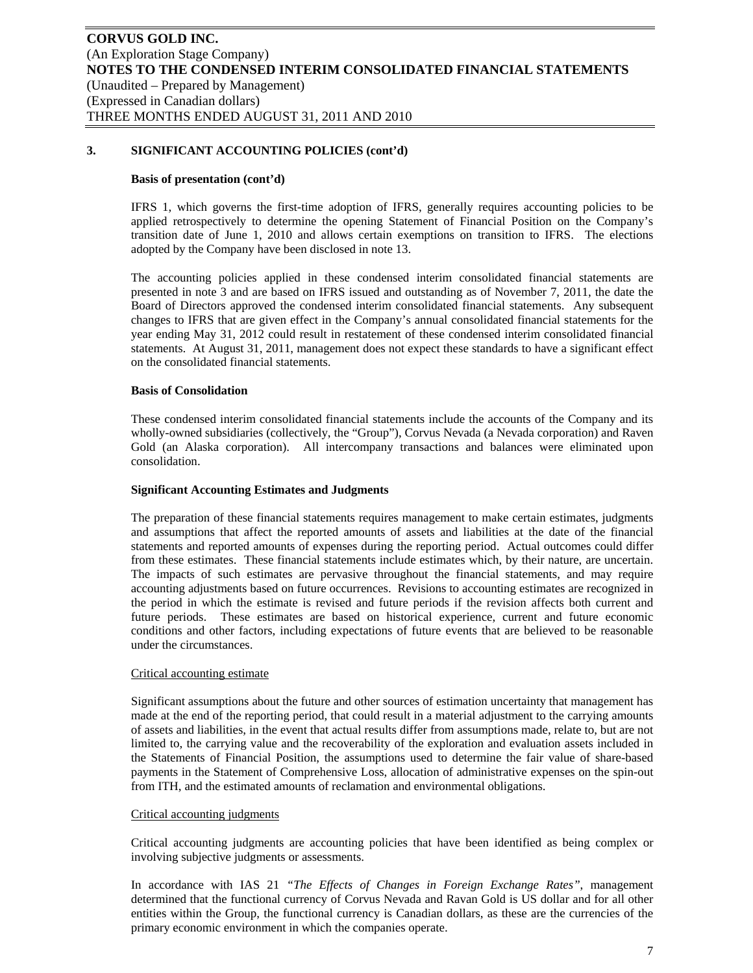#### **Basis of presentation (cont'd)**

IFRS 1, which governs the first-time adoption of IFRS, generally requires accounting policies to be applied retrospectively to determine the opening Statement of Financial Position on the Company's transition date of June 1, 2010 and allows certain exemptions on transition to IFRS. The elections adopted by the Company have been disclosed in note 13.

The accounting policies applied in these condensed interim consolidated financial statements are presented in note 3 and are based on IFRS issued and outstanding as of November 7, 2011, the date the Board of Directors approved the condensed interim consolidated financial statements. Any subsequent changes to IFRS that are given effect in the Company's annual consolidated financial statements for the year ending May 31, 2012 could result in restatement of these condensed interim consolidated financial statements. At August 31, 2011, management does not expect these standards to have a significant effect on the consolidated financial statements.

## **Basis of Consolidation**

These condensed interim consolidated financial statements include the accounts of the Company and its wholly-owned subsidiaries (collectively, the "Group"), Corvus Nevada (a Nevada corporation) and Raven Gold (an Alaska corporation). All intercompany transactions and balances were eliminated upon consolidation.

#### **Significant Accounting Estimates and Judgments**

The preparation of these financial statements requires management to make certain estimates, judgments and assumptions that affect the reported amounts of assets and liabilities at the date of the financial statements and reported amounts of expenses during the reporting period. Actual outcomes could differ from these estimates. These financial statements include estimates which, by their nature, are uncertain. The impacts of such estimates are pervasive throughout the financial statements, and may require accounting adjustments based on future occurrences. Revisions to accounting estimates are recognized in the period in which the estimate is revised and future periods if the revision affects both current and future periods. These estimates are based on historical experience, current and future economic conditions and other factors, including expectations of future events that are believed to be reasonable under the circumstances.

#### Critical accounting estimate

Significant assumptions about the future and other sources of estimation uncertainty that management has made at the end of the reporting period, that could result in a material adjustment to the carrying amounts of assets and liabilities, in the event that actual results differ from assumptions made, relate to, but are not limited to, the carrying value and the recoverability of the exploration and evaluation assets included in the Statements of Financial Position, the assumptions used to determine the fair value of share-based payments in the Statement of Comprehensive Loss, allocation of administrative expenses on the spin-out from ITH, and the estimated amounts of reclamation and environmental obligations.

#### Critical accounting judgments

Critical accounting judgments are accounting policies that have been identified as being complex or involving subjective judgments or assessments.

In accordance with IAS 21 *"The Effects of Changes in Foreign Exchange Rates"*, management determined that the functional currency of Corvus Nevada and Ravan Gold is US dollar and for all other entities within the Group, the functional currency is Canadian dollars, as these are the currencies of the primary economic environment in which the companies operate.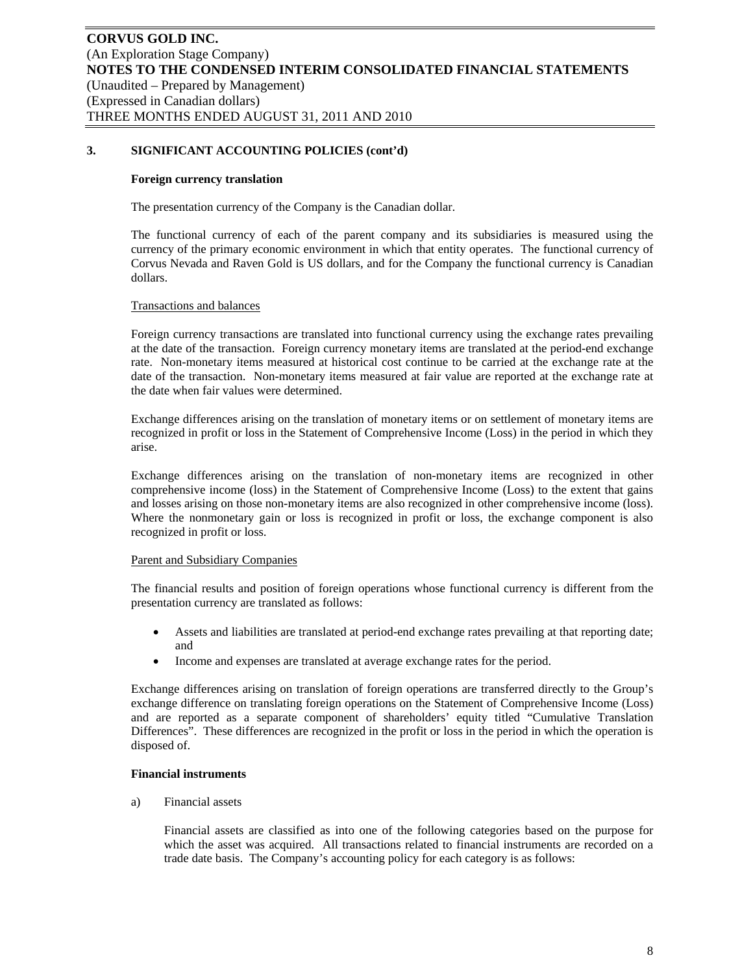#### **Foreign currency translation**

The presentation currency of the Company is the Canadian dollar.

The functional currency of each of the parent company and its subsidiaries is measured using the currency of the primary economic environment in which that entity operates. The functional currency of Corvus Nevada and Raven Gold is US dollars, and for the Company the functional currency is Canadian dollars.

## Transactions and balances

Foreign currency transactions are translated into functional currency using the exchange rates prevailing at the date of the transaction. Foreign currency monetary items are translated at the period-end exchange rate. Non-monetary items measured at historical cost continue to be carried at the exchange rate at the date of the transaction. Non-monetary items measured at fair value are reported at the exchange rate at the date when fair values were determined.

Exchange differences arising on the translation of monetary items or on settlement of monetary items are recognized in profit or loss in the Statement of Comprehensive Income (Loss) in the period in which they arise.

Exchange differences arising on the translation of non-monetary items are recognized in other comprehensive income (loss) in the Statement of Comprehensive Income (Loss) to the extent that gains and losses arising on those non-monetary items are also recognized in other comprehensive income (loss). Where the nonmonetary gain or loss is recognized in profit or loss, the exchange component is also recognized in profit or loss.

## Parent and Subsidiary Companies

The financial results and position of foreign operations whose functional currency is different from the presentation currency are translated as follows:

- Assets and liabilities are translated at period-end exchange rates prevailing at that reporting date; and
- Income and expenses are translated at average exchange rates for the period.

Exchange differences arising on translation of foreign operations are transferred directly to the Group's exchange difference on translating foreign operations on the Statement of Comprehensive Income (Loss) and are reported as a separate component of shareholders' equity titled "Cumulative Translation Differences". These differences are recognized in the profit or loss in the period in which the operation is disposed of.

#### **Financial instruments**

a) Financial assets

Financial assets are classified as into one of the following categories based on the purpose for which the asset was acquired. All transactions related to financial instruments are recorded on a trade date basis. The Company's accounting policy for each category is as follows: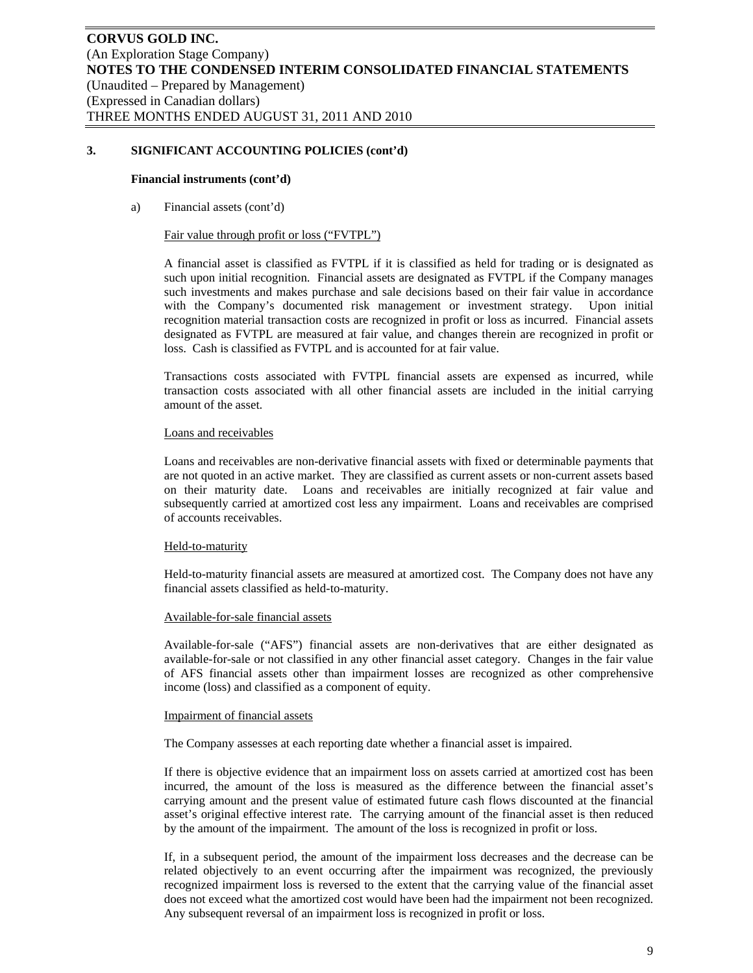#### **Financial instruments (cont'd)**

a) Financial assets (cont'd)

#### Fair value through profit or loss ("FVTPL")

A financial asset is classified as FVTPL if it is classified as held for trading or is designated as such upon initial recognition. Financial assets are designated as FVTPL if the Company manages such investments and makes purchase and sale decisions based on their fair value in accordance with the Company's documented risk management or investment strategy. Upon initial recognition material transaction costs are recognized in profit or loss as incurred. Financial assets designated as FVTPL are measured at fair value, and changes therein are recognized in profit or loss. Cash is classified as FVTPL and is accounted for at fair value.

Transactions costs associated with FVTPL financial assets are expensed as incurred, while transaction costs associated with all other financial assets are included in the initial carrying amount of the asset.

## Loans and receivables

Loans and receivables are non-derivative financial assets with fixed or determinable payments that are not quoted in an active market. They are classified as current assets or non-current assets based on their maturity date. Loans and receivables are initially recognized at fair value and subsequently carried at amortized cost less any impairment. Loans and receivables are comprised of accounts receivables.

## Held-to-maturity

Held-to-maturity financial assets are measured at amortized cost. The Company does not have any financial assets classified as held-to-maturity.

#### Available-for-sale financial assets

Available-for-sale ("AFS") financial assets are non-derivatives that are either designated as available-for-sale or not classified in any other financial asset category. Changes in the fair value of AFS financial assets other than impairment losses are recognized as other comprehensive income (loss) and classified as a component of equity.

#### Impairment of financial assets

The Company assesses at each reporting date whether a financial asset is impaired.

If there is objective evidence that an impairment loss on assets carried at amortized cost has been incurred, the amount of the loss is measured as the difference between the financial asset's carrying amount and the present value of estimated future cash flows discounted at the financial asset's original effective interest rate. The carrying amount of the financial asset is then reduced by the amount of the impairment. The amount of the loss is recognized in profit or loss.

If, in a subsequent period, the amount of the impairment loss decreases and the decrease can be related objectively to an event occurring after the impairment was recognized, the previously recognized impairment loss is reversed to the extent that the carrying value of the financial asset does not exceed what the amortized cost would have been had the impairment not been recognized. Any subsequent reversal of an impairment loss is recognized in profit or loss.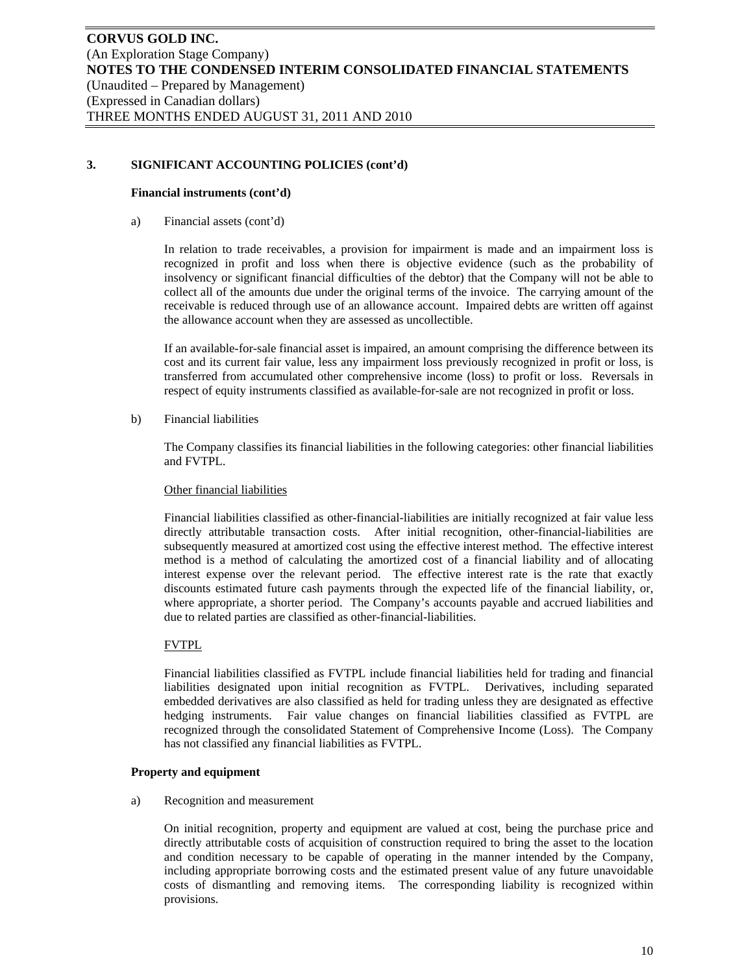## **Financial instruments (cont'd)**

a) Financial assets (cont'd)

In relation to trade receivables, a provision for impairment is made and an impairment loss is recognized in profit and loss when there is objective evidence (such as the probability of insolvency or significant financial difficulties of the debtor) that the Company will not be able to collect all of the amounts due under the original terms of the invoice. The carrying amount of the receivable is reduced through use of an allowance account. Impaired debts are written off against the allowance account when they are assessed as uncollectible.

If an available-for-sale financial asset is impaired, an amount comprising the difference between its cost and its current fair value, less any impairment loss previously recognized in profit or loss, is transferred from accumulated other comprehensive income (loss) to profit or loss. Reversals in respect of equity instruments classified as available-for-sale are not recognized in profit or loss.

b) Financial liabilities

The Company classifies its financial liabilities in the following categories: other financial liabilities and FVTPL.

## Other financial liabilities

Financial liabilities classified as other-financial-liabilities are initially recognized at fair value less directly attributable transaction costs. After initial recognition, other-financial-liabilities are subsequently measured at amortized cost using the effective interest method. The effective interest method is a method of calculating the amortized cost of a financial liability and of allocating interest expense over the relevant period. The effective interest rate is the rate that exactly discounts estimated future cash payments through the expected life of the financial liability, or, where appropriate, a shorter period. The Company's accounts payable and accrued liabilities and due to related parties are classified as other-financial-liabilities.

## FVTPL

Financial liabilities classified as FVTPL include financial liabilities held for trading and financial liabilities designated upon initial recognition as FVTPL. Derivatives, including separated embedded derivatives are also classified as held for trading unless they are designated as effective hedging instruments. Fair value changes on financial liabilities classified as FVTPL are recognized through the consolidated Statement of Comprehensive Income (Loss). The Company has not classified any financial liabilities as FVTPL.

## **Property and equipment**

a) Recognition and measurement

On initial recognition, property and equipment are valued at cost, being the purchase price and directly attributable costs of acquisition of construction required to bring the asset to the location and condition necessary to be capable of operating in the manner intended by the Company, including appropriate borrowing costs and the estimated present value of any future unavoidable costs of dismantling and removing items. The corresponding liability is recognized within provisions.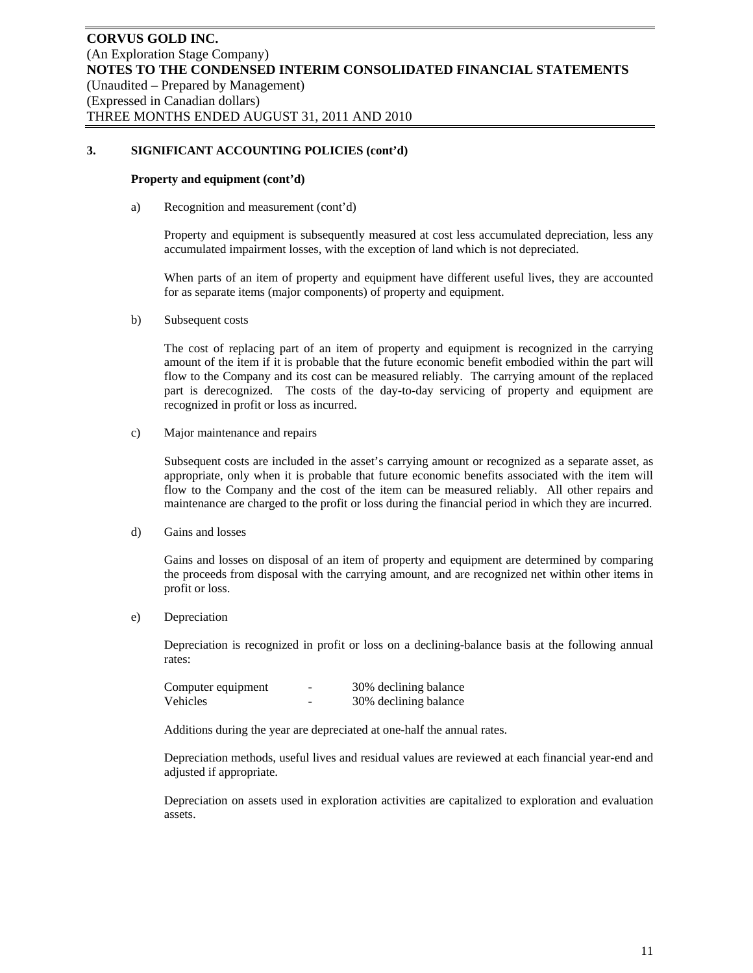#### **Property and equipment (cont'd)**

a) Recognition and measurement (cont'd)

Property and equipment is subsequently measured at cost less accumulated depreciation, less any accumulated impairment losses, with the exception of land which is not depreciated.

When parts of an item of property and equipment have different useful lives, they are accounted for as separate items (major components) of property and equipment.

b) Subsequent costs

The cost of replacing part of an item of property and equipment is recognized in the carrying amount of the item if it is probable that the future economic benefit embodied within the part will flow to the Company and its cost can be measured reliably. The carrying amount of the replaced part is derecognized. The costs of the day-to-day servicing of property and equipment are recognized in profit or loss as incurred.

c) Major maintenance and repairs

Subsequent costs are included in the asset's carrying amount or recognized as a separate asset, as appropriate, only when it is probable that future economic benefits associated with the item will flow to the Company and the cost of the item can be measured reliably. All other repairs and maintenance are charged to the profit or loss during the financial period in which they are incurred.

d) Gains and losses

Gains and losses on disposal of an item of property and equipment are determined by comparing the proceeds from disposal with the carrying amount, and are recognized net within other items in profit or loss.

e) Depreciation

Depreciation is recognized in profit or loss on a declining-balance basis at the following annual rates:

| Computer equipment | - | 30% declining balance |
|--------------------|---|-----------------------|
| Vehicles           |   | 30% declining balance |

Additions during the year are depreciated at one-half the annual rates.

Depreciation methods, useful lives and residual values are reviewed at each financial year-end and adjusted if appropriate.

Depreciation on assets used in exploration activities are capitalized to exploration and evaluation assets.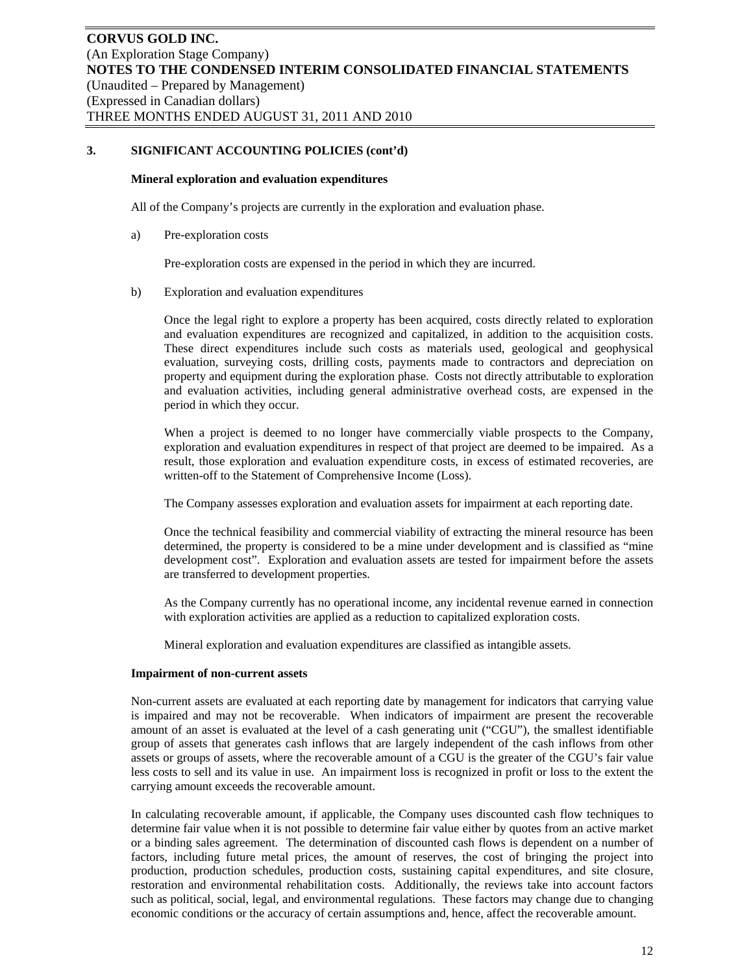#### **Mineral exploration and evaluation expenditures**

All of the Company's projects are currently in the exploration and evaluation phase.

a) Pre-exploration costs

Pre-exploration costs are expensed in the period in which they are incurred.

b) Exploration and evaluation expenditures

Once the legal right to explore a property has been acquired, costs directly related to exploration and evaluation expenditures are recognized and capitalized, in addition to the acquisition costs. These direct expenditures include such costs as materials used, geological and geophysical evaluation, surveying costs, drilling costs, payments made to contractors and depreciation on property and equipment during the exploration phase. Costs not directly attributable to exploration and evaluation activities, including general administrative overhead costs, are expensed in the period in which they occur.

When a project is deemed to no longer have commercially viable prospects to the Company, exploration and evaluation expenditures in respect of that project are deemed to be impaired. As a result, those exploration and evaluation expenditure costs, in excess of estimated recoveries, are written-off to the Statement of Comprehensive Income (Loss).

The Company assesses exploration and evaluation assets for impairment at each reporting date.

Once the technical feasibility and commercial viability of extracting the mineral resource has been determined, the property is considered to be a mine under development and is classified as "mine development cost". Exploration and evaluation assets are tested for impairment before the assets are transferred to development properties.

As the Company currently has no operational income, any incidental revenue earned in connection with exploration activities are applied as a reduction to capitalized exploration costs.

Mineral exploration and evaluation expenditures are classified as intangible assets.

## **Impairment of non-current assets**

Non-current assets are evaluated at each reporting date by management for indicators that carrying value is impaired and may not be recoverable. When indicators of impairment are present the recoverable amount of an asset is evaluated at the level of a cash generating unit ("CGU"), the smallest identifiable group of assets that generates cash inflows that are largely independent of the cash inflows from other assets or groups of assets, where the recoverable amount of a CGU is the greater of the CGU's fair value less costs to sell and its value in use. An impairment loss is recognized in profit or loss to the extent the carrying amount exceeds the recoverable amount.

In calculating recoverable amount, if applicable, the Company uses discounted cash flow techniques to determine fair value when it is not possible to determine fair value either by quotes from an active market or a binding sales agreement. The determination of discounted cash flows is dependent on a number of factors, including future metal prices, the amount of reserves, the cost of bringing the project into production, production schedules, production costs, sustaining capital expenditures, and site closure, restoration and environmental rehabilitation costs. Additionally, the reviews take into account factors such as political, social, legal, and environmental regulations. These factors may change due to changing economic conditions or the accuracy of certain assumptions and, hence, affect the recoverable amount.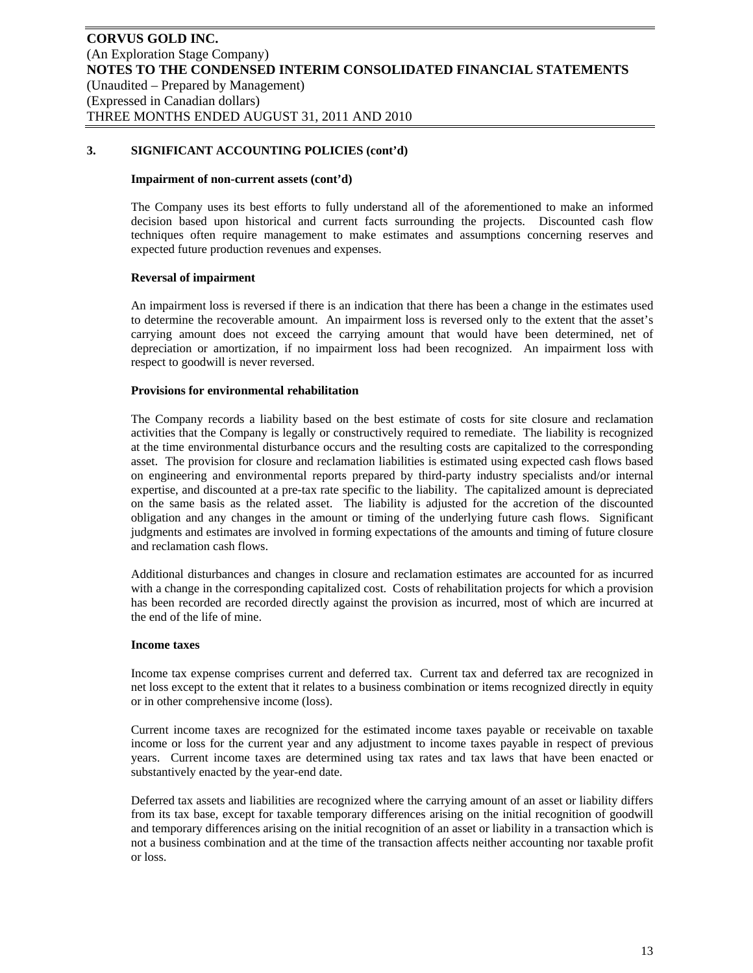#### **Impairment of non-current assets (cont'd)**

The Company uses its best efforts to fully understand all of the aforementioned to make an informed decision based upon historical and current facts surrounding the projects. Discounted cash flow techniques often require management to make estimates and assumptions concerning reserves and expected future production revenues and expenses.

#### **Reversal of impairment**

An impairment loss is reversed if there is an indication that there has been a change in the estimates used to determine the recoverable amount. An impairment loss is reversed only to the extent that the asset's carrying amount does not exceed the carrying amount that would have been determined, net of depreciation or amortization, if no impairment loss had been recognized. An impairment loss with respect to goodwill is never reversed.

#### **Provisions for environmental rehabilitation**

The Company records a liability based on the best estimate of costs for site closure and reclamation activities that the Company is legally or constructively required to remediate. The liability is recognized at the time environmental disturbance occurs and the resulting costs are capitalized to the corresponding asset. The provision for closure and reclamation liabilities is estimated using expected cash flows based on engineering and environmental reports prepared by third-party industry specialists and/or internal expertise, and discounted at a pre-tax rate specific to the liability. The capitalized amount is depreciated on the same basis as the related asset. The liability is adjusted for the accretion of the discounted obligation and any changes in the amount or timing of the underlying future cash flows. Significant judgments and estimates are involved in forming expectations of the amounts and timing of future closure and reclamation cash flows.

Additional disturbances and changes in closure and reclamation estimates are accounted for as incurred with a change in the corresponding capitalized cost. Costs of rehabilitation projects for which a provision has been recorded are recorded directly against the provision as incurred, most of which are incurred at the end of the life of mine.

#### **Income taxes**

Income tax expense comprises current and deferred tax. Current tax and deferred tax are recognized in net loss except to the extent that it relates to a business combination or items recognized directly in equity or in other comprehensive income (loss).

Current income taxes are recognized for the estimated income taxes payable or receivable on taxable income or loss for the current year and any adjustment to income taxes payable in respect of previous years. Current income taxes are determined using tax rates and tax laws that have been enacted or substantively enacted by the year-end date.

Deferred tax assets and liabilities are recognized where the carrying amount of an asset or liability differs from its tax base, except for taxable temporary differences arising on the initial recognition of goodwill and temporary differences arising on the initial recognition of an asset or liability in a transaction which is not a business combination and at the time of the transaction affects neither accounting nor taxable profit or loss.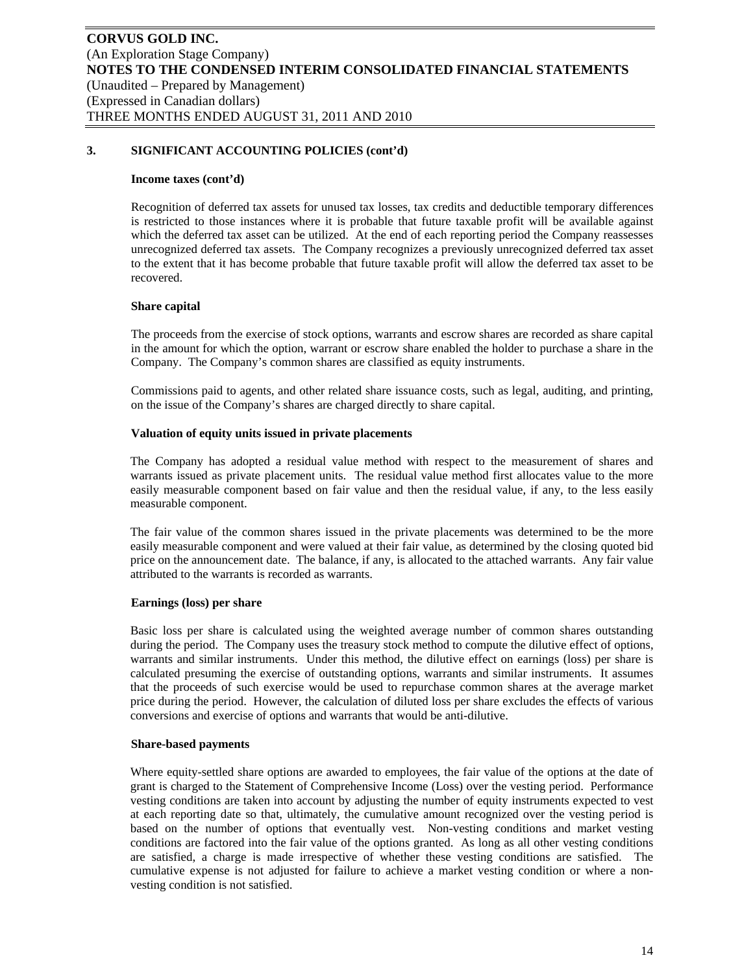#### **Income taxes (cont'd)**

Recognition of deferred tax assets for unused tax losses, tax credits and deductible temporary differences is restricted to those instances where it is probable that future taxable profit will be available against which the deferred tax asset can be utilized. At the end of each reporting period the Company reassesses unrecognized deferred tax assets. The Company recognizes a previously unrecognized deferred tax asset to the extent that it has become probable that future taxable profit will allow the deferred tax asset to be recovered.

#### **Share capital**

The proceeds from the exercise of stock options, warrants and escrow shares are recorded as share capital in the amount for which the option, warrant or escrow share enabled the holder to purchase a share in the Company. The Company's common shares are classified as equity instruments.

Commissions paid to agents, and other related share issuance costs, such as legal, auditing, and printing, on the issue of the Company's shares are charged directly to share capital.

#### **Valuation of equity units issued in private placements**

The Company has adopted a residual value method with respect to the measurement of shares and warrants issued as private placement units. The residual value method first allocates value to the more easily measurable component based on fair value and then the residual value, if any, to the less easily measurable component.

The fair value of the common shares issued in the private placements was determined to be the more easily measurable component and were valued at their fair value, as determined by the closing quoted bid price on the announcement date. The balance, if any, is allocated to the attached warrants. Any fair value attributed to the warrants is recorded as warrants.

#### **Earnings (loss) per share**

Basic loss per share is calculated using the weighted average number of common shares outstanding during the period. The Company uses the treasury stock method to compute the dilutive effect of options, warrants and similar instruments. Under this method, the dilutive effect on earnings (loss) per share is calculated presuming the exercise of outstanding options, warrants and similar instruments. It assumes that the proceeds of such exercise would be used to repurchase common shares at the average market price during the period. However, the calculation of diluted loss per share excludes the effects of various conversions and exercise of options and warrants that would be anti-dilutive.

#### **Share-based payments**

Where equity-settled share options are awarded to employees, the fair value of the options at the date of grant is charged to the Statement of Comprehensive Income (Loss) over the vesting period. Performance vesting conditions are taken into account by adjusting the number of equity instruments expected to vest at each reporting date so that, ultimately, the cumulative amount recognized over the vesting period is based on the number of options that eventually vest. Non-vesting conditions and market vesting conditions are factored into the fair value of the options granted. As long as all other vesting conditions are satisfied, a charge is made irrespective of whether these vesting conditions are satisfied. The cumulative expense is not adjusted for failure to achieve a market vesting condition or where a nonvesting condition is not satisfied.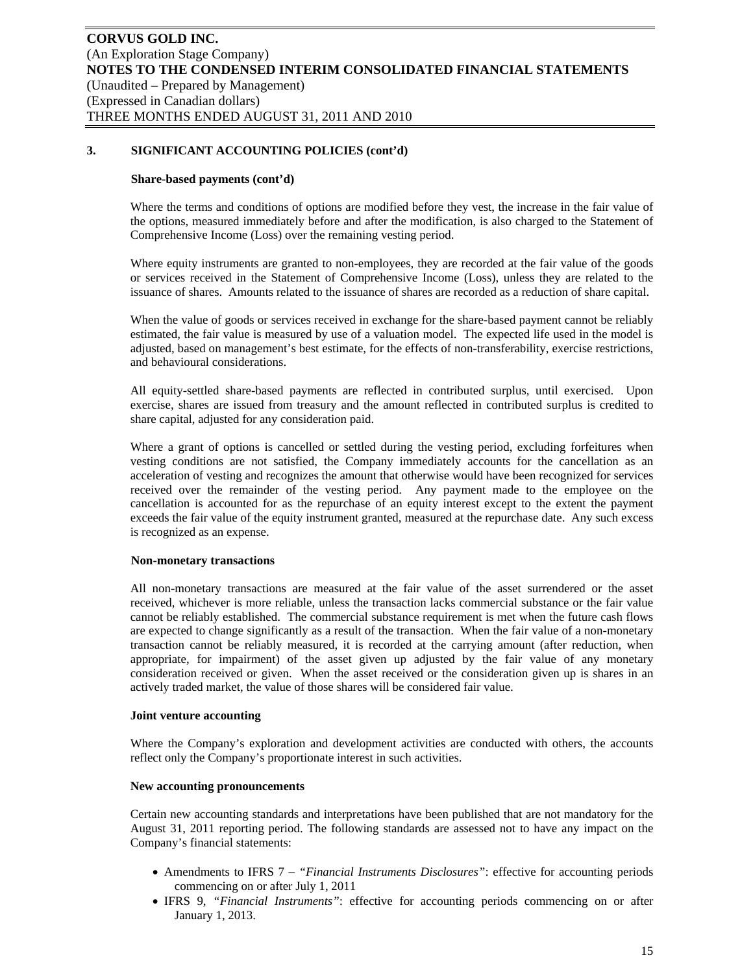#### **Share-based payments (cont'd)**

Where the terms and conditions of options are modified before they vest, the increase in the fair value of the options, measured immediately before and after the modification, is also charged to the Statement of Comprehensive Income (Loss) over the remaining vesting period.

Where equity instruments are granted to non-employees, they are recorded at the fair value of the goods or services received in the Statement of Comprehensive Income (Loss), unless they are related to the issuance of shares. Amounts related to the issuance of shares are recorded as a reduction of share capital.

When the value of goods or services received in exchange for the share-based payment cannot be reliably estimated, the fair value is measured by use of a valuation model. The expected life used in the model is adjusted, based on management's best estimate, for the effects of non-transferability, exercise restrictions, and behavioural considerations.

All equity-settled share-based payments are reflected in contributed surplus, until exercised. Upon exercise, shares are issued from treasury and the amount reflected in contributed surplus is credited to share capital, adjusted for any consideration paid.

Where a grant of options is cancelled or settled during the vesting period, excluding forfeitures when vesting conditions are not satisfied, the Company immediately accounts for the cancellation as an acceleration of vesting and recognizes the amount that otherwise would have been recognized for services received over the remainder of the vesting period. Any payment made to the employee on the cancellation is accounted for as the repurchase of an equity interest except to the extent the payment exceeds the fair value of the equity instrument granted, measured at the repurchase date. Any such excess is recognized as an expense.

#### **Non-monetary transactions**

All non-monetary transactions are measured at the fair value of the asset surrendered or the asset received, whichever is more reliable, unless the transaction lacks commercial substance or the fair value cannot be reliably established. The commercial substance requirement is met when the future cash flows are expected to change significantly as a result of the transaction. When the fair value of a non-monetary transaction cannot be reliably measured, it is recorded at the carrying amount (after reduction, when appropriate, for impairment) of the asset given up adjusted by the fair value of any monetary consideration received or given. When the asset received or the consideration given up is shares in an actively traded market, the value of those shares will be considered fair value.

#### **Joint venture accounting**

Where the Company's exploration and development activities are conducted with others, the accounts reflect only the Company's proportionate interest in such activities.

#### **New accounting pronouncements**

Certain new accounting standards and interpretations have been published that are not mandatory for the August 31, 2011 reporting period. The following standards are assessed not to have any impact on the Company's financial statements:

- Amendments to IFRS 7 *"Financial Instruments Disclosures"*: effective for accounting periods commencing on or after July 1, 2011
- IFRS 9, *"Financial Instruments"*: effective for accounting periods commencing on or after January 1, 2013.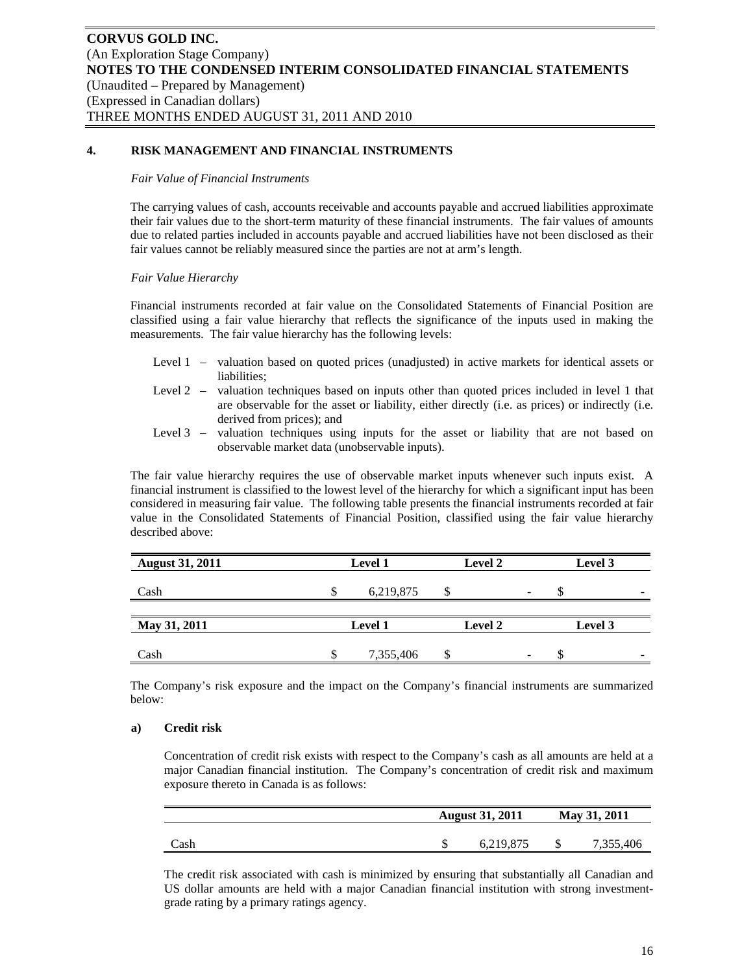## **4. RISK MANAGEMENT AND FINANCIAL INSTRUMENTS**

#### *Fair Value of Financial Instruments*

The carrying values of cash, accounts receivable and accounts payable and accrued liabilities approximate their fair values due to the short-term maturity of these financial instruments. The fair values of amounts due to related parties included in accounts payable and accrued liabilities have not been disclosed as their fair values cannot be reliably measured since the parties are not at arm's length.

## *Fair Value Hierarchy*

Financial instruments recorded at fair value on the Consolidated Statements of Financial Position are classified using a fair value hierarchy that reflects the significance of the inputs used in making the measurements. The fair value hierarchy has the following levels:

- Level 1 valuation based on quoted prices (unadjusted) in active markets for identical assets or liabilities;
- Level 2 valuation techniques based on inputs other than quoted prices included in level 1 that are observable for the asset or liability, either directly (i.e. as prices) or indirectly (i.e. derived from prices); and
- Level 3 valuation techniques using inputs for the asset or liability that are not based on observable market data (unobservable inputs).

The fair value hierarchy requires the use of observable market inputs whenever such inputs exist. A financial instrument is classified to the lowest level of the hierarchy for which a significant input has been considered in measuring fair value. The following table presents the financial instruments recorded at fair value in the Consolidated Statements of Financial Position, classified using the fair value hierarchy described above:

| <b>August 31, 2011</b> | Level 1   | Level 2 |   | Level 3                  |
|------------------------|-----------|---------|---|--------------------------|
| Cash                   | 6,219,875 |         | - | $\overline{\phantom{a}}$ |
| May 31, 2011           | Level 1   | Level 2 |   | Level 3                  |
| Cash                   | 7,355,406 |         | - | $\overline{\phantom{a}}$ |

The Company's risk exposure and the impact on the Company's financial instruments are summarized below:

## **a) Credit risk**

Concentration of credit risk exists with respect to the Company's cash as all amounts are held at a major Canadian financial institution. The Company's concentration of credit risk and maximum exposure thereto in Canada is as follows:

|      | <b>August 31, 2011</b> | May 31, 2011 |           |  |
|------|------------------------|--------------|-----------|--|
| Cash | 6,219,875              |              | 7,355,406 |  |

The credit risk associated with cash is minimized by ensuring that substantially all Canadian and US dollar amounts are held with a major Canadian financial institution with strong investmentgrade rating by a primary ratings agency.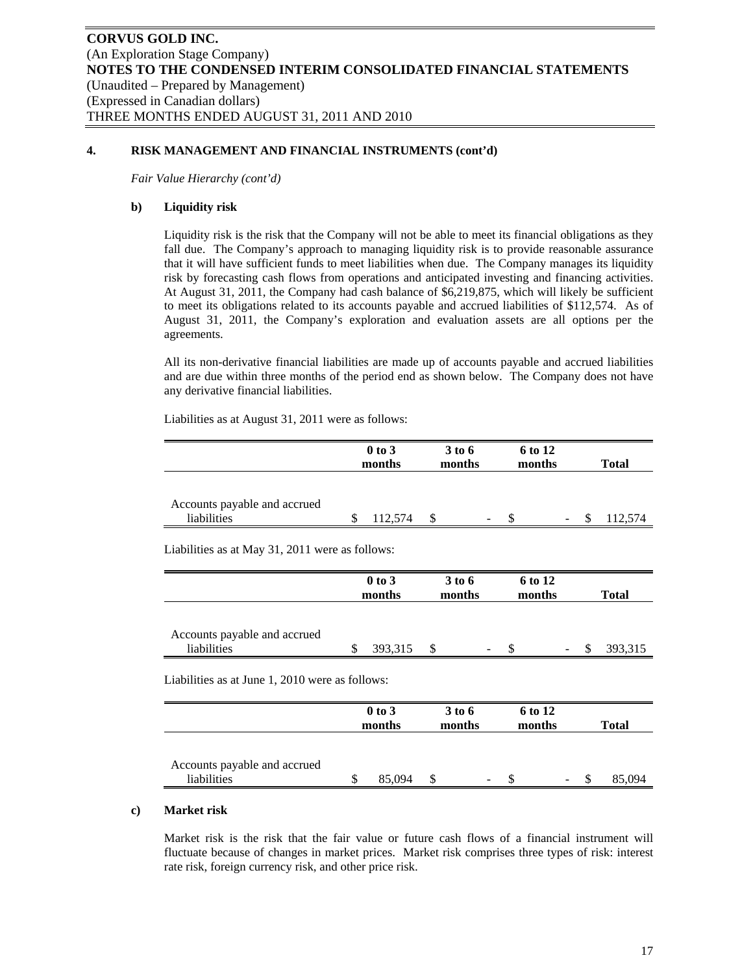## **4. RISK MANAGEMENT AND FINANCIAL INSTRUMENTS (cont'd)**

*Fair Value Hierarchy (cont'd)* 

## **b) Liquidity risk**

Liquidity risk is the risk that the Company will not be able to meet its financial obligations as they fall due. The Company's approach to managing liquidity risk is to provide reasonable assurance that it will have sufficient funds to meet liabilities when due. The Company manages its liquidity risk by forecasting cash flows from operations and anticipated investing and financing activities. At August 31, 2011, the Company had cash balance of \$6,219,875, which will likely be sufficient to meet its obligations related to its accounts payable and accrued liabilities of \$112,574. As of August 31, 2011, the Company's exploration and evaluation assets are all options per the agreements.

All its non-derivative financial liabilities are made up of accounts payable and accrued liabilities and are due within three months of the period end as shown below. The Company does not have any derivative financial liabilities.

Liabilities as at August 31, 2011 were as follows:

|                                                 |                      | $0$ to $3$<br>months | 3 to 6<br>months | 6 to 12<br>months |    | <b>Total</b> |
|-------------------------------------------------|----------------------|----------------------|------------------|-------------------|----|--------------|
| Accounts payable and accrued<br>liabilities     | \$                   | 112,574              | \$               | S                 | \$ | 112,574      |
| Liabilities as at May 31, 2011 were as follows: |                      |                      |                  |                   |    |              |
|                                                 |                      | 0 to 3<br>months     | 3 to 6<br>months | 6 to 12<br>months |    | <b>Total</b> |
| Accounts payable and accrued<br>liabilities     | \$                   | 393,315              | \$               | \$                | \$ | 393,315      |
| Liabilities as at June 1, 2010 were as follows: |                      |                      |                  |                   |    |              |
|                                                 | $0$ to $3$<br>months |                      | 3 to 6<br>months | 6 to 12<br>months |    | <b>Total</b> |
| Accounts payable and accrued<br>liabilities     | \$                   | 85,094               | \$               | \$                | \$ | 85,094       |

#### **c) Market risk**

Market risk is the risk that the fair value or future cash flows of a financial instrument will fluctuate because of changes in market prices. Market risk comprises three types of risk: interest rate risk, foreign currency risk, and other price risk.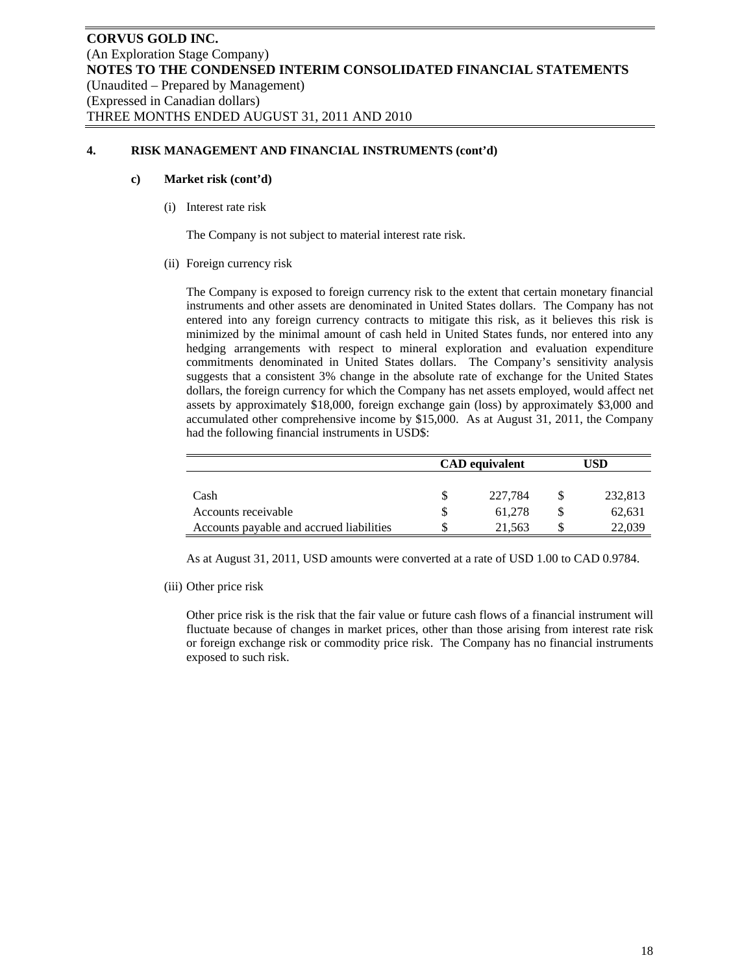## **4. RISK MANAGEMENT AND FINANCIAL INSTRUMENTS (cont'd)**

#### **c) Market risk (cont'd)**

(i) Interest rate risk

The Company is not subject to material interest rate risk.

(ii) Foreign currency risk

The Company is exposed to foreign currency risk to the extent that certain monetary financial instruments and other assets are denominated in United States dollars. The Company has not entered into any foreign currency contracts to mitigate this risk, as it believes this risk is minimized by the minimal amount of cash held in United States funds, nor entered into any hedging arrangements with respect to mineral exploration and evaluation expenditure commitments denominated in United States dollars. The Company's sensitivity analysis suggests that a consistent 3% change in the absolute rate of exchange for the United States dollars, the foreign currency for which the Company has net assets employed, would affect net assets by approximately \$18,000, foreign exchange gain (loss) by approximately \$3,000 and accumulated other comprehensive income by \$15,000. As at August 31, 2011, the Company had the following financial instruments in USD\$:

|                                          | <b>CAD</b> equivalent | USD |         |  |
|------------------------------------------|-----------------------|-----|---------|--|
|                                          |                       |     |         |  |
| Cash                                     | 227,784               |     | 232,813 |  |
| Accounts receivable                      | 61.278                |     | 62,631  |  |
| Accounts payable and accrued liabilities | 21.563                |     | 22,039  |  |

As at August 31, 2011, USD amounts were converted at a rate of USD 1.00 to CAD 0.9784.

(iii) Other price risk

Other price risk is the risk that the fair value or future cash flows of a financial instrument will fluctuate because of changes in market prices, other than those arising from interest rate risk or foreign exchange risk or commodity price risk. The Company has no financial instruments exposed to such risk.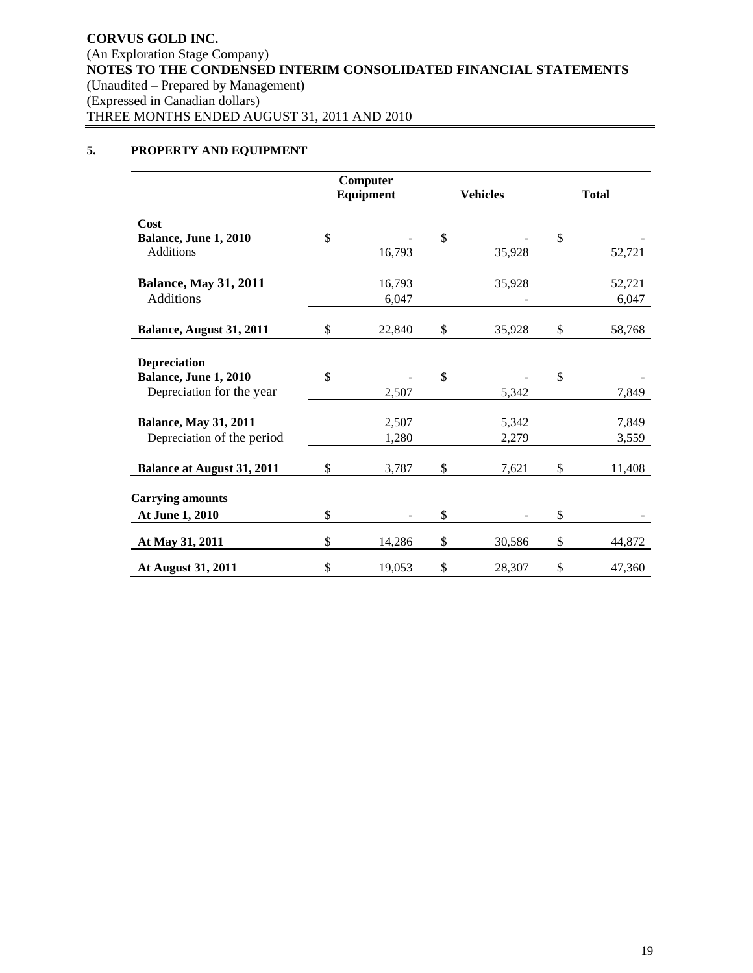# **5. PROPERTY AND EQUIPMENT**

|                                   | Computer     |              |                 |              |              |
|-----------------------------------|--------------|--------------|-----------------|--------------|--------------|
|                                   | Equipment    |              | <b>Vehicles</b> |              | <b>Total</b> |
|                                   |              |              |                 |              |              |
| Cost                              |              |              |                 |              |              |
| Balance, June 1, 2010             | \$           | $\mathbb{S}$ |                 | \$           |              |
| <b>Additions</b>                  | 16,793       |              | 35,928          |              | 52,721       |
| <b>Balance, May 31, 2011</b>      | 16,793       |              | 35,928          |              | 52,721       |
| Additions                         |              |              |                 |              | 6,047        |
|                                   | 6,047        |              |                 |              |              |
| Balance, August 31, 2011          | \$<br>22,840 | \$           | 35,928          | \$           | 58,768       |
|                                   |              |              |                 |              |              |
| <b>Depreciation</b>               |              |              |                 |              |              |
| Balance, June 1, 2010             | \$           | \$           |                 | $\mathbb{S}$ |              |
| Depreciation for the year         | 2,507        |              | 5,342           |              | 7,849        |
|                                   |              |              |                 |              |              |
| <b>Balance, May 31, 2011</b>      | 2,507        |              | 5,342           |              | 7,849        |
| Depreciation of the period        | 1,280        |              | 2,279           |              | 3,559        |
|                                   |              |              |                 |              |              |
| <b>Balance at August 31, 2011</b> | \$<br>3,787  | \$           | 7,621           | \$           | 11,408       |
|                                   |              |              |                 |              |              |
| <b>Carrying amounts</b>           |              |              |                 |              |              |
| At June 1, 2010                   | \$           | \$           |                 | \$           |              |
| At May 31, 2011                   | \$<br>14,286 | \$           | 30,586          | $\mathbb{S}$ | 44,872       |
| At August 31, 2011                | \$<br>19,053 | \$           | 28,307          | \$           | 47,360       |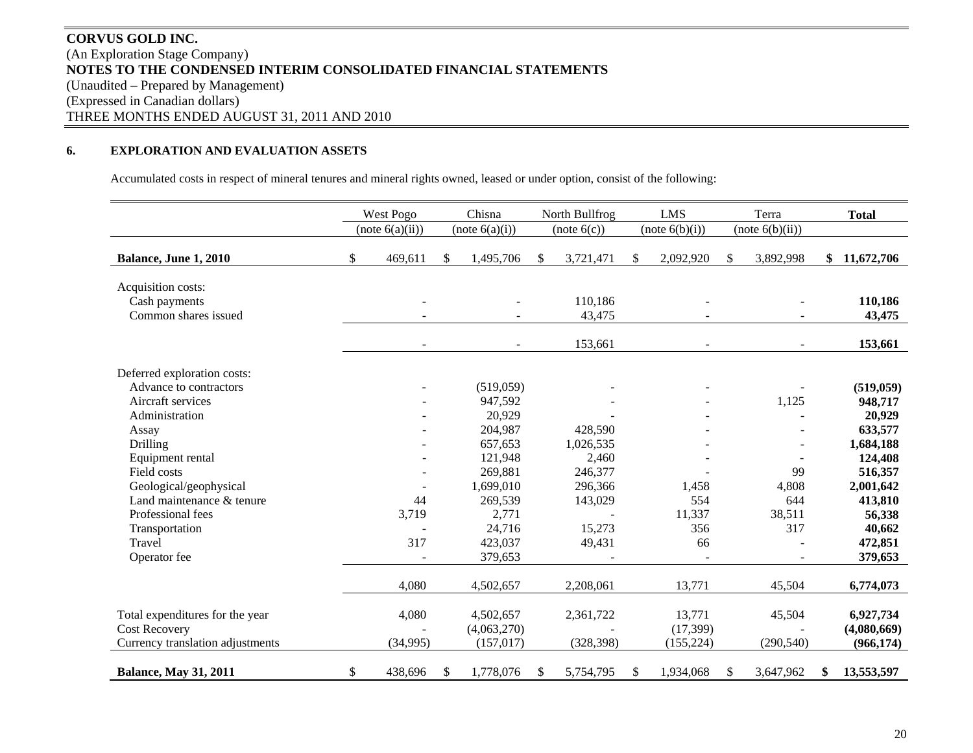# **CORVUS GOLD INC.** (An Exploration Stage Company) **NOTES TO THE CONDENSED INTERIM CONSOLIDATED FINANCIAL STATEMENTS**  (Unaudited – Prepared by Management) (Expressed in Canadian dollars) THREE MONTHS ENDED AUGUST 31, 2011 AND 2010

#### **6.EXPLORATION AND EVALUATION ASSETS**

Accumulated costs in respect of mineral tenures and mineral rights owned, leased or under option, consist of the following:

|                                                             | West Pogo       | Chisna                    |              | North Bullfrog    | <b>LMS</b>              | Terra           | <b>Total</b>              |
|-------------------------------------------------------------|-----------------|---------------------------|--------------|-------------------|-------------------------|-----------------|---------------------------|
|                                                             | (note 6(a)(ii)) | (note 6(a)(i))            |              | (note 6(c))       | (note 6(b)(i))          | (note 6(b)(ii)) |                           |
| Balance, June 1, 2010                                       | \$<br>469,611   | \$<br>1,495,706           | \$           | 3,721,471         | \$<br>2,092,920         | \$<br>3,892,998 | \$<br>11,672,706          |
| Acquisition costs:<br>Cash payments<br>Common shares issued |                 |                           |              | 110,186<br>43,475 |                         |                 | 110,186<br>43,475         |
|                                                             |                 |                           |              | 153,661           |                         |                 | 153,661                   |
| Deferred exploration costs:                                 |                 |                           |              |                   |                         |                 |                           |
| Advance to contractors                                      |                 | (519,059)                 |              |                   |                         |                 | (519, 059)                |
| Aircraft services                                           |                 | 947,592                   |              |                   |                         | 1,125           | 948,717                   |
| Administration                                              |                 | 20,929                    |              |                   |                         |                 | 20,929                    |
| Assay                                                       |                 | 204,987                   |              | 428,590           |                         |                 | 633,577                   |
| Drilling                                                    |                 | 657,653                   |              | 1,026,535         |                         | $\overline{a}$  | 1,684,188                 |
| Equipment rental                                            |                 | 121,948                   |              | 2,460             |                         |                 | 124,408                   |
| Field costs                                                 |                 | 269,881                   |              | 246,377           |                         | 99              | 516,357                   |
| Geological/geophysical                                      |                 | 1,699,010                 |              | 296,366           | 1,458                   | 4,808           | 2,001,642                 |
| Land maintenance & tenure                                   | 44              | 269,539                   |              | 143,029           | 554                     | 644             | 413,810                   |
| Professional fees                                           | 3,719           | 2,771                     |              |                   | 11,337                  | 38,511          | 56,338                    |
| Transportation                                              |                 | 24,716                    |              | 15,273            | 356                     | 317             | 40,662                    |
| Travel                                                      | 317             | 423,037                   |              | 49,431            | 66                      |                 | 472,851                   |
| Operator fee                                                |                 | 379,653                   |              |                   |                         |                 | 379,653                   |
|                                                             | 4,080           | 4,502,657                 |              | 2,208,061         | 13,771                  | 45,504          | 6,774,073                 |
| Total expenditures for the year                             | 4,080           | 4,502,657                 |              | 2,361,722         | 13,771                  | 45,504          | 6,927,734                 |
| <b>Cost Recovery</b><br>Currency translation adjustments    | (34,995)        | (4,063,270)<br>(157, 017) |              | (328, 398)        | (17, 399)<br>(155, 224) | (290, 540)      | (4,080,669)<br>(966, 174) |
|                                                             |                 |                           |              |                   |                         |                 |                           |
| <b>Balance, May 31, 2011</b>                                | \$<br>438,696   | \$<br>1,778,076           | $\mathbb{S}$ | 5,754,795         | \$<br>1,934,068         | \$<br>3,647,962 | \$<br>13,553,597          |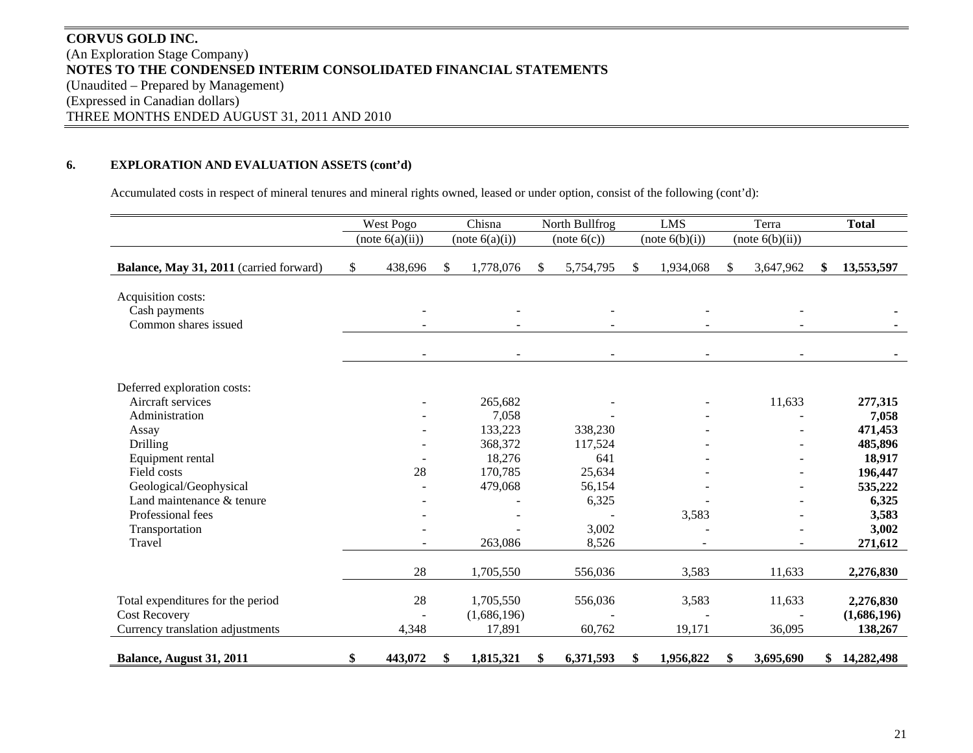# **CORVUS GOLD INC.** (An Exploration Stage Company) **NOTES TO THE CONDENSED INTERIM CONSOLIDATED FINANCIAL STATEMENTS**  (Unaudited – Prepared by Management) (Expressed in Canadian dollars) THREE MONTHS ENDED AUGUST 31, 2011 AND 2010

## **6. EXPLORATION AND EVALUATION ASSETS (cont'd)**

Accumulated costs in respect of mineral tenures and mineral rights owned, leased or under option, consist of the following (cont'd):

|                                                             | West Pogo                | Chisna                   | North Bullfrog           | <b>LMS</b>      | Terra           | <b>Total</b>     |
|-------------------------------------------------------------|--------------------------|--------------------------|--------------------------|-----------------|-----------------|------------------|
|                                                             | (note 6(a)(ii))          | (note 6(a)(i))           | (note 6(c))              | (note 6(b)(i))  | (note 6(b)(ii)) |                  |
| Balance, May 31, 2011 (carried forward)                     | \$<br>438,696            | \$<br>1,778,076          | \$<br>5,754,795          | \$<br>1,934,068 | \$<br>3,647,962 | \$<br>13,553,597 |
| Acquisition costs:<br>Cash payments<br>Common shares issued |                          |                          |                          |                 |                 |                  |
| Deferred exploration costs:                                 | $\overline{\phantom{a}}$ | $\overline{\phantom{a}}$ | $\overline{\phantom{a}}$ |                 |                 |                  |
| Aircraft services                                           |                          | 265,682                  |                          |                 | 11,633          | 277,315          |
| Administration                                              |                          | 7,058                    |                          |                 |                 | 7,058            |
| Assay                                                       |                          | 133,223                  | 338,230                  |                 |                 | 471,453          |
| Drilling                                                    |                          | 368,372                  | 117,524                  |                 |                 | 485,896          |
| Equipment rental                                            |                          | 18,276                   | 641                      |                 |                 | 18,917           |
| Field costs                                                 | 28                       | 170,785                  | 25,634                   |                 |                 | 196,447          |
| Geological/Geophysical                                      |                          | 479,068                  | 56,154                   |                 |                 | 535,222          |
| Land maintenance & tenure                                   |                          |                          | 6,325                    |                 |                 | 6,325            |
| Professional fees                                           |                          |                          |                          | 3,583           |                 | 3,583            |
| Transportation                                              |                          |                          | 3,002                    |                 |                 | 3,002            |
| Travel                                                      |                          | 263,086                  | 8,526                    |                 |                 | 271,612          |
|                                                             | 28                       | 1,705,550                | 556,036                  | 3,583           | 11,633          | 2,276,830        |
| Total expenditures for the period                           | 28                       | 1,705,550                | 556,036                  | 3,583           | 11,633          | 2,276,830        |
| <b>Cost Recovery</b>                                        |                          | (1,686,196)              |                          |                 |                 | (1,686,196)      |
| Currency translation adjustments                            | 4,348                    | 17,891                   | 60,762                   | 19,171          | 36,095          | 138,267          |
| Balance, August 31, 2011                                    | \$<br>443,072            | \$<br>1,815,321          | \$<br>6,371,593          | \$<br>1,956,822 | \$<br>3,695,690 | \$14,282,498     |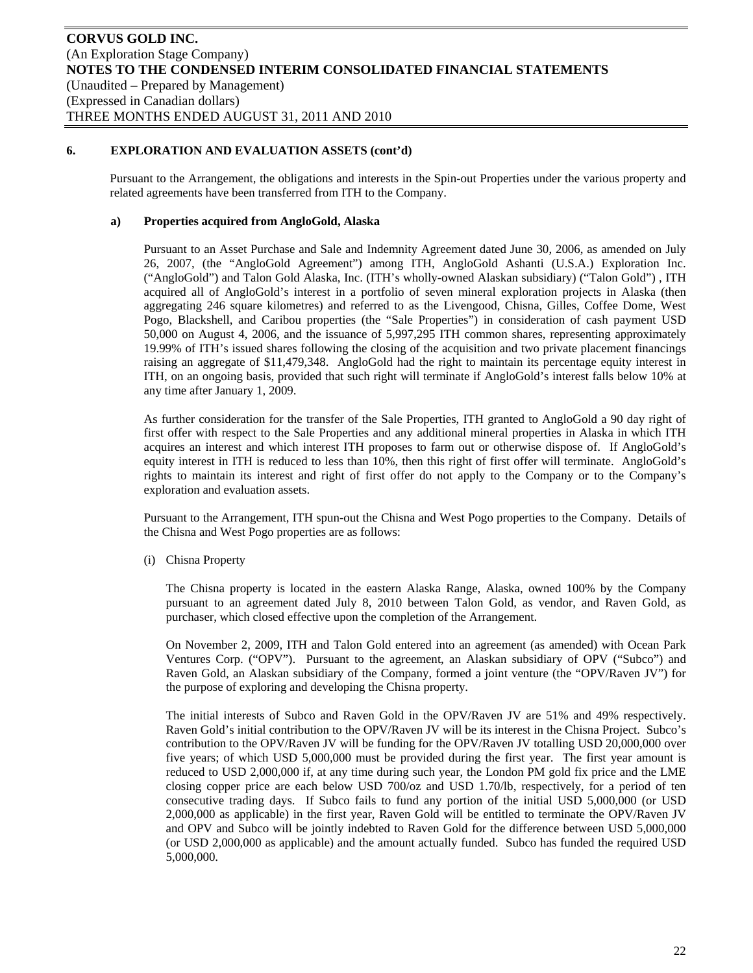Pursuant to the Arrangement, the obligations and interests in the Spin-out Properties under the various property and related agreements have been transferred from ITH to the Company.

## **a) Properties acquired from AngloGold, Alaska**

Pursuant to an Asset Purchase and Sale and Indemnity Agreement dated June 30, 2006, as amended on July 26, 2007, (the "AngloGold Agreement") among ITH, AngloGold Ashanti (U.S.A.) Exploration Inc. ("AngloGold") and Talon Gold Alaska, Inc. (ITH's wholly-owned Alaskan subsidiary) ("Talon Gold") , ITH acquired all of AngloGold's interest in a portfolio of seven mineral exploration projects in Alaska (then aggregating 246 square kilometres) and referred to as the Livengood, Chisna, Gilles, Coffee Dome, West Pogo, Blackshell, and Caribou properties (the "Sale Properties") in consideration of cash payment USD 50,000 on August 4, 2006, and the issuance of 5,997,295 ITH common shares, representing approximately 19.99% of ITH's issued shares following the closing of the acquisition and two private placement financings raising an aggregate of \$11,479,348. AngloGold had the right to maintain its percentage equity interest in ITH, on an ongoing basis, provided that such right will terminate if AngloGold's interest falls below 10% at any time after January 1, 2009.

As further consideration for the transfer of the Sale Properties, ITH granted to AngloGold a 90 day right of first offer with respect to the Sale Properties and any additional mineral properties in Alaska in which ITH acquires an interest and which interest ITH proposes to farm out or otherwise dispose of. If AngloGold's equity interest in ITH is reduced to less than 10%, then this right of first offer will terminate. AngloGold's rights to maintain its interest and right of first offer do not apply to the Company or to the Company's exploration and evaluation assets.

Pursuant to the Arrangement, ITH spun-out the Chisna and West Pogo properties to the Company. Details of the Chisna and West Pogo properties are as follows:

(i) Chisna Property

The Chisna property is located in the eastern Alaska Range, Alaska, owned 100% by the Company pursuant to an agreement dated July 8, 2010 between Talon Gold, as vendor, and Raven Gold, as purchaser, which closed effective upon the completion of the Arrangement.

On November 2, 2009, ITH and Talon Gold entered into an agreement (as amended) with Ocean Park Ventures Corp. ("OPV"). Pursuant to the agreement, an Alaskan subsidiary of OPV ("Subco") and Raven Gold, an Alaskan subsidiary of the Company, formed a joint venture (the "OPV/Raven JV") for the purpose of exploring and developing the Chisna property.

The initial interests of Subco and Raven Gold in the OPV/Raven JV are 51% and 49% respectively. Raven Gold's initial contribution to the OPV/Raven JV will be its interest in the Chisna Project. Subco's contribution to the OPV/Raven JV will be funding for the OPV/Raven JV totalling USD 20,000,000 over five years; of which USD 5,000,000 must be provided during the first year. The first year amount is reduced to USD 2,000,000 if, at any time during such year, the London PM gold fix price and the LME closing copper price are each below USD 700/oz and USD 1.70/lb, respectively, for a period of ten consecutive trading days. If Subco fails to fund any portion of the initial USD 5,000,000 (or USD 2,000,000 as applicable) in the first year, Raven Gold will be entitled to terminate the OPV/Raven JV and OPV and Subco will be jointly indebted to Raven Gold for the difference between USD 5,000,000 (or USD 2,000,000 as applicable) and the amount actually funded. Subco has funded the required USD 5,000,000.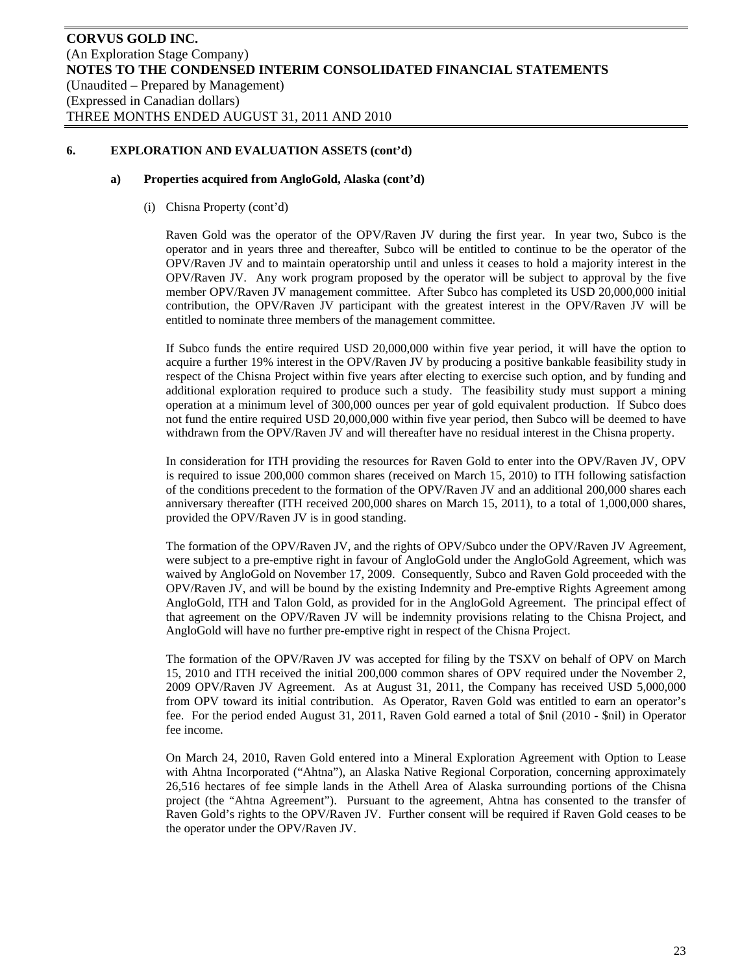#### **a) Properties acquired from AngloGold, Alaska (cont'd)**

(i) Chisna Property (cont'd)

Raven Gold was the operator of the OPV/Raven JV during the first year. In year two, Subco is the operator and in years three and thereafter, Subco will be entitled to continue to be the operator of the OPV/Raven JV and to maintain operatorship until and unless it ceases to hold a majority interest in the OPV/Raven JV. Any work program proposed by the operator will be subject to approval by the five member OPV/Raven JV management committee. After Subco has completed its USD 20,000,000 initial contribution, the OPV/Raven JV participant with the greatest interest in the OPV/Raven JV will be entitled to nominate three members of the management committee.

If Subco funds the entire required USD 20,000,000 within five year period, it will have the option to acquire a further 19% interest in the OPV/Raven JV by producing a positive bankable feasibility study in respect of the Chisna Project within five years after electing to exercise such option, and by funding and additional exploration required to produce such a study. The feasibility study must support a mining operation at a minimum level of 300,000 ounces per year of gold equivalent production. If Subco does not fund the entire required USD 20,000,000 within five year period, then Subco will be deemed to have withdrawn from the OPV/Raven JV and will thereafter have no residual interest in the Chisna property.

In consideration for ITH providing the resources for Raven Gold to enter into the OPV/Raven JV, OPV is required to issue 200,000 common shares (received on March 15, 2010) to ITH following satisfaction of the conditions precedent to the formation of the OPV/Raven JV and an additional 200,000 shares each anniversary thereafter (ITH received 200,000 shares on March 15, 2011), to a total of 1,000,000 shares, provided the OPV/Raven JV is in good standing.

The formation of the OPV/Raven JV, and the rights of OPV/Subco under the OPV/Raven JV Agreement, were subject to a pre-emptive right in favour of AngloGold under the AngloGold Agreement, which was waived by AngloGold on November 17, 2009. Consequently, Subco and Raven Gold proceeded with the OPV/Raven JV, and will be bound by the existing Indemnity and Pre-emptive Rights Agreement among AngloGold, ITH and Talon Gold, as provided for in the AngloGold Agreement. The principal effect of that agreement on the OPV/Raven JV will be indemnity provisions relating to the Chisna Project, and AngloGold will have no further pre-emptive right in respect of the Chisna Project.

The formation of the OPV/Raven JV was accepted for filing by the TSXV on behalf of OPV on March 15, 2010 and ITH received the initial 200,000 common shares of OPV required under the November 2, 2009 OPV/Raven JV Agreement. As at August 31, 2011, the Company has received USD 5,000,000 from OPV toward its initial contribution. As Operator, Raven Gold was entitled to earn an operator's fee. For the period ended August 31, 2011, Raven Gold earned a total of \$nil (2010 - \$nil) in Operator fee income.

On March 24, 2010, Raven Gold entered into a Mineral Exploration Agreement with Option to Lease with Ahtna Incorporated ("Ahtna"), an Alaska Native Regional Corporation, concerning approximately 26,516 hectares of fee simple lands in the Athell Area of Alaska surrounding portions of the Chisna project (the "Ahtna Agreement"). Pursuant to the agreement, Ahtna has consented to the transfer of Raven Gold's rights to the OPV/Raven JV. Further consent will be required if Raven Gold ceases to be the operator under the OPV/Raven JV.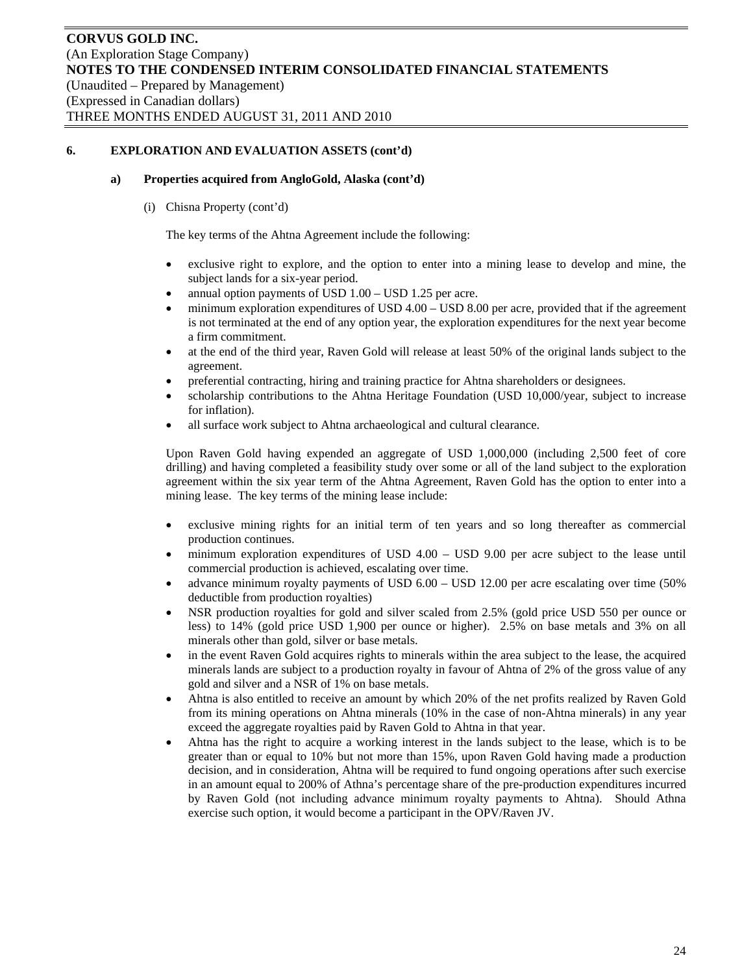#### **a) Properties acquired from AngloGold, Alaska (cont'd)**

(i) Chisna Property (cont'd)

The key terms of the Ahtna Agreement include the following:

- exclusive right to explore, and the option to enter into a mining lease to develop and mine, the subject lands for a six-year period.
- annual option payments of USD 1.00 USD 1.25 per acre.
- minimum exploration expenditures of USD 4.00 USD 8.00 per acre, provided that if the agreement is not terminated at the end of any option year, the exploration expenditures for the next year become a firm commitment.
- at the end of the third year, Raven Gold will release at least 50% of the original lands subject to the agreement.
- preferential contracting, hiring and training practice for Ahtna shareholders or designees.
- scholarship contributions to the Ahtna Heritage Foundation (USD 10,000/year, subject to increase for inflation).
- all surface work subject to Ahtna archaeological and cultural clearance.

Upon Raven Gold having expended an aggregate of USD 1,000,000 (including 2,500 feet of core drilling) and having completed a feasibility study over some or all of the land subject to the exploration agreement within the six year term of the Ahtna Agreement, Raven Gold has the option to enter into a mining lease. The key terms of the mining lease include:

- exclusive mining rights for an initial term of ten years and so long thereafter as commercial production continues.
- minimum exploration expenditures of USD 4.00 USD 9.00 per acre subject to the lease until commercial production is achieved, escalating over time.
- advance minimum royalty payments of USD 6.00 USD 12.00 per acre escalating over time (50% deductible from production royalties)
- NSR production royalties for gold and silver scaled from 2.5% (gold price USD 550 per ounce or less) to 14% (gold price USD 1,900 per ounce or higher). 2.5% on base metals and 3% on all minerals other than gold, silver or base metals.
- in the event Raven Gold acquires rights to minerals within the area subject to the lease, the acquired minerals lands are subject to a production royalty in favour of Ahtna of 2% of the gross value of any gold and silver and a NSR of 1% on base metals.
- Ahtna is also entitled to receive an amount by which 20% of the net profits realized by Raven Gold from its mining operations on Ahtna minerals (10% in the case of non-Ahtna minerals) in any year exceed the aggregate royalties paid by Raven Gold to Ahtna in that year.
- Ahtna has the right to acquire a working interest in the lands subject to the lease, which is to be greater than or equal to 10% but not more than 15%, upon Raven Gold having made a production decision, and in consideration, Ahtna will be required to fund ongoing operations after such exercise in an amount equal to 200% of Athna's percentage share of the pre-production expenditures incurred by Raven Gold (not including advance minimum royalty payments to Ahtna). Should Athna exercise such option, it would become a participant in the OPV/Raven JV.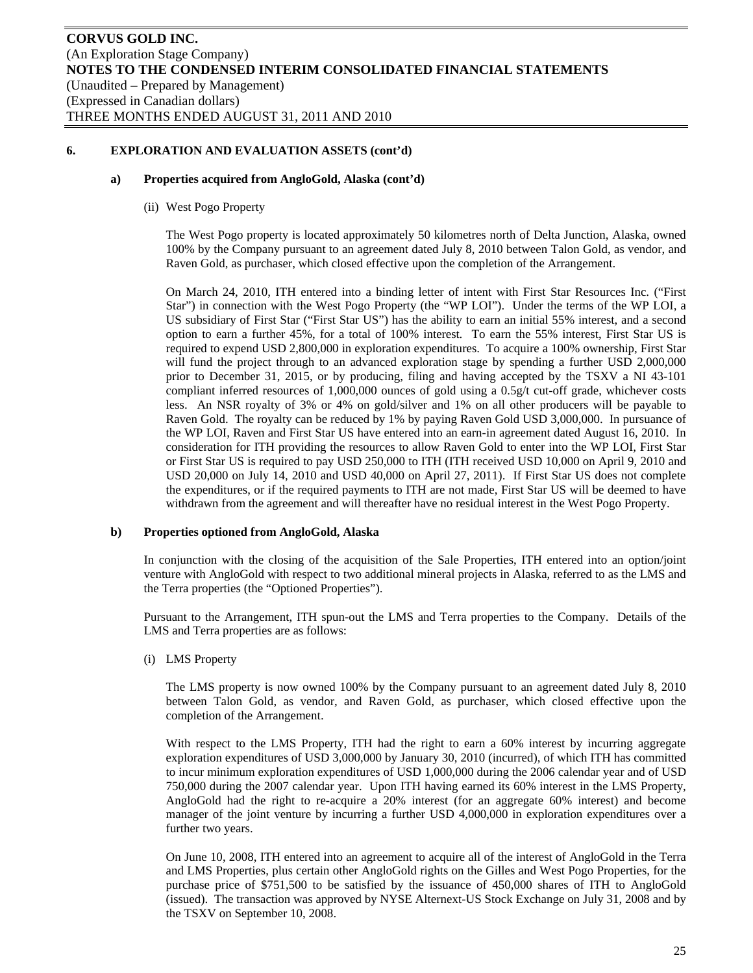#### **a) Properties acquired from AngloGold, Alaska (cont'd)**

(ii) West Pogo Property

The West Pogo property is located approximately 50 kilometres north of Delta Junction, Alaska, owned 100% by the Company pursuant to an agreement dated July 8, 2010 between Talon Gold, as vendor, and Raven Gold, as purchaser, which closed effective upon the completion of the Arrangement.

On March 24, 2010, ITH entered into a binding letter of intent with First Star Resources Inc. ("First Star") in connection with the West Pogo Property (the "WP LOI"). Under the terms of the WP LOI, a US subsidiary of First Star ("First Star US") has the ability to earn an initial 55% interest, and a second option to earn a further 45%, for a total of 100% interest. To earn the 55% interest, First Star US is required to expend USD 2,800,000 in exploration expenditures. To acquire a 100% ownership, First Star will fund the project through to an advanced exploration stage by spending a further USD 2,000,000 prior to December 31, 2015, or by producing, filing and having accepted by the TSXV a NI 43-101 compliant inferred resources of 1,000,000 ounces of gold using a 0.5g/t cut-off grade, whichever costs less. An NSR royalty of 3% or 4% on gold/silver and 1% on all other producers will be payable to Raven Gold. The royalty can be reduced by 1% by paying Raven Gold USD 3,000,000. In pursuance of the WP LOI, Raven and First Star US have entered into an earn-in agreement dated August 16, 2010. In consideration for ITH providing the resources to allow Raven Gold to enter into the WP LOI, First Star or First Star US is required to pay USD 250,000 to ITH (ITH received USD 10,000 on April 9, 2010 and USD 20,000 on July 14, 2010 and USD 40,000 on April 27, 2011). If First Star US does not complete the expenditures, or if the required payments to ITH are not made, First Star US will be deemed to have withdrawn from the agreement and will thereafter have no residual interest in the West Pogo Property.

#### **b) Properties optioned from AngloGold, Alaska**

In conjunction with the closing of the acquisition of the Sale Properties, ITH entered into an option/joint venture with AngloGold with respect to two additional mineral projects in Alaska, referred to as the LMS and the Terra properties (the "Optioned Properties").

Pursuant to the Arrangement, ITH spun-out the LMS and Terra properties to the Company. Details of the LMS and Terra properties are as follows:

(i) LMS Property

The LMS property is now owned 100% by the Company pursuant to an agreement dated July 8, 2010 between Talon Gold, as vendor, and Raven Gold, as purchaser, which closed effective upon the completion of the Arrangement.

With respect to the LMS Property, ITH had the right to earn a 60% interest by incurring aggregate exploration expenditures of USD 3,000,000 by January 30, 2010 (incurred), of which ITH has committed to incur minimum exploration expenditures of USD 1,000,000 during the 2006 calendar year and of USD 750,000 during the 2007 calendar year. Upon ITH having earned its 60% interest in the LMS Property, AngloGold had the right to re-acquire a 20% interest (for an aggregate 60% interest) and become manager of the joint venture by incurring a further USD 4,000,000 in exploration expenditures over a further two years.

On June 10, 2008, ITH entered into an agreement to acquire all of the interest of AngloGold in the Terra and LMS Properties, plus certain other AngloGold rights on the Gilles and West Pogo Properties, for the purchase price of \$751,500 to be satisfied by the issuance of 450,000 shares of ITH to AngloGold (issued). The transaction was approved by NYSE Alternext-US Stock Exchange on July 31, 2008 and by the TSXV on September 10, 2008.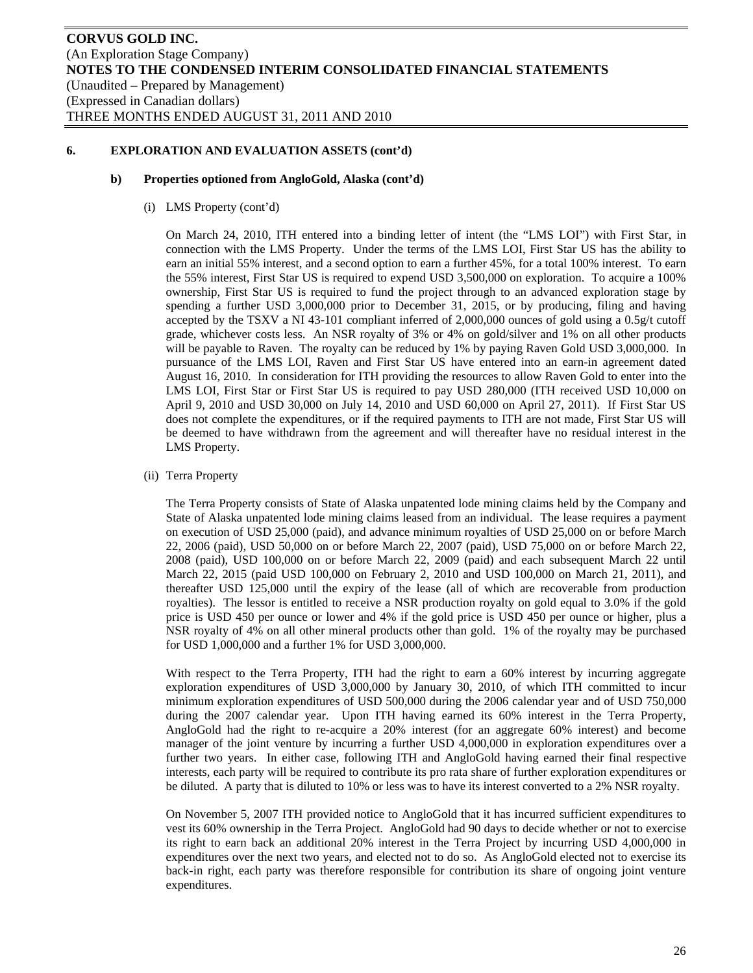#### **b) Properties optioned from AngloGold, Alaska (cont'd)**

(i) LMS Property (cont'd)

On March 24, 2010, ITH entered into a binding letter of intent (the "LMS LOI") with First Star, in connection with the LMS Property. Under the terms of the LMS LOI, First Star US has the ability to earn an initial 55% interest, and a second option to earn a further 45%, for a total 100% interest. To earn the 55% interest, First Star US is required to expend USD 3,500,000 on exploration. To acquire a 100% ownership, First Star US is required to fund the project through to an advanced exploration stage by spending a further USD 3,000,000 prior to December 31, 2015, or by producing, filing and having accepted by the TSXV a NI 43-101 compliant inferred of 2,000,000 ounces of gold using a 0.5g/t cutoff grade, whichever costs less. An NSR royalty of 3% or 4% on gold/silver and 1% on all other products will be payable to Raven. The royalty can be reduced by 1% by paying Raven Gold USD 3,000,000. In pursuance of the LMS LOI, Raven and First Star US have entered into an earn-in agreement dated August 16, 2010. In consideration for ITH providing the resources to allow Raven Gold to enter into the LMS LOI, First Star or First Star US is required to pay USD 280,000 (ITH received USD 10,000 on April 9, 2010 and USD 30,000 on July 14, 2010 and USD 60,000 on April 27, 2011). If First Star US does not complete the expenditures, or if the required payments to ITH are not made, First Star US will be deemed to have withdrawn from the agreement and will thereafter have no residual interest in the LMS Property.

(ii) Terra Property

The Terra Property consists of State of Alaska unpatented lode mining claims held by the Company and State of Alaska unpatented lode mining claims leased from an individual. The lease requires a payment on execution of USD 25,000 (paid), and advance minimum royalties of USD 25,000 on or before March 22, 2006 (paid), USD 50,000 on or before March 22, 2007 (paid), USD 75,000 on or before March 22, 2008 (paid), USD 100,000 on or before March 22, 2009 (paid) and each subsequent March 22 until March 22, 2015 (paid USD 100,000 on February 2, 2010 and USD 100,000 on March 21, 2011), and thereafter USD 125,000 until the expiry of the lease (all of which are recoverable from production royalties). The lessor is entitled to receive a NSR production royalty on gold equal to 3.0% if the gold price is USD 450 per ounce or lower and 4% if the gold price is USD 450 per ounce or higher, plus a NSR royalty of 4% on all other mineral products other than gold. 1% of the royalty may be purchased for USD 1,000,000 and a further 1% for USD 3,000,000.

With respect to the Terra Property, ITH had the right to earn a 60% interest by incurring aggregate exploration expenditures of USD 3,000,000 by January 30, 2010, of which ITH committed to incur minimum exploration expenditures of USD 500,000 during the 2006 calendar year and of USD 750,000 during the 2007 calendar year. Upon ITH having earned its 60% interest in the Terra Property, AngloGold had the right to re-acquire a 20% interest (for an aggregate 60% interest) and become manager of the joint venture by incurring a further USD 4,000,000 in exploration expenditures over a further two years. In either case, following ITH and AngloGold having earned their final respective interests, each party will be required to contribute its pro rata share of further exploration expenditures or be diluted. A party that is diluted to 10% or less was to have its interest converted to a 2% NSR royalty.

On November 5, 2007 ITH provided notice to AngloGold that it has incurred sufficient expenditures to vest its 60% ownership in the Terra Project. AngloGold had 90 days to decide whether or not to exercise its right to earn back an additional 20% interest in the Terra Project by incurring USD 4,000,000 in expenditures over the next two years, and elected not to do so. As AngloGold elected not to exercise its back-in right, each party was therefore responsible for contribution its share of ongoing joint venture expenditures.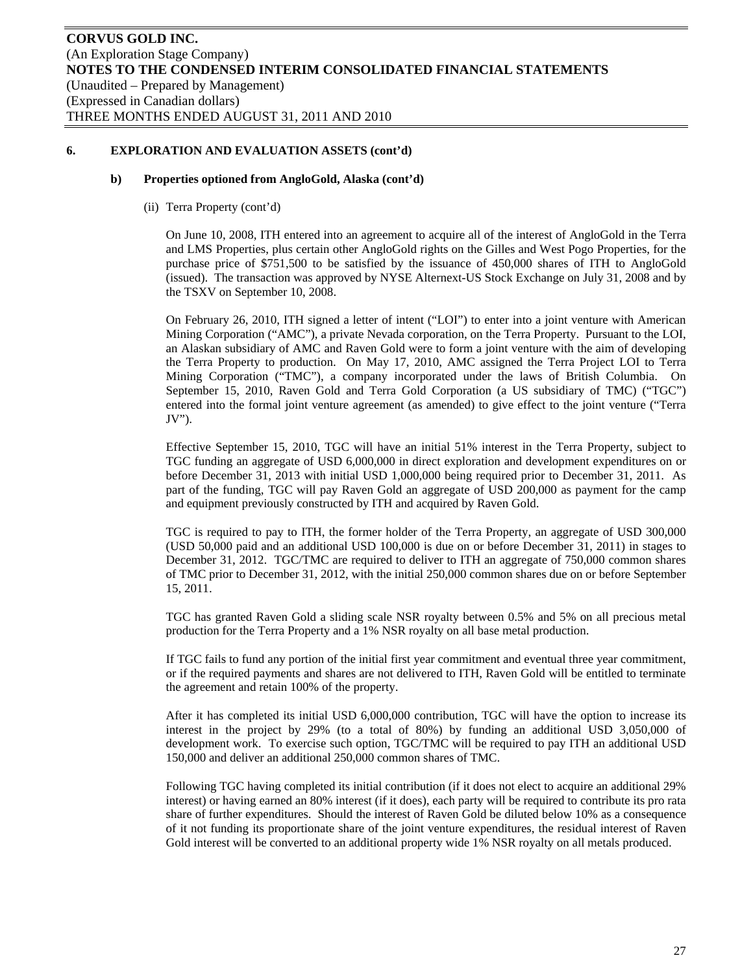#### **b) Properties optioned from AngloGold, Alaska (cont'd)**

(ii) Terra Property (cont'd)

On June 10, 2008, ITH entered into an agreement to acquire all of the interest of AngloGold in the Terra and LMS Properties, plus certain other AngloGold rights on the Gilles and West Pogo Properties, for the purchase price of \$751,500 to be satisfied by the issuance of 450,000 shares of ITH to AngloGold (issued). The transaction was approved by NYSE Alternext-US Stock Exchange on July 31, 2008 and by the TSXV on September 10, 2008.

On February 26, 2010, ITH signed a letter of intent ("LOI") to enter into a joint venture with American Mining Corporation ("AMC"), a private Nevada corporation, on the Terra Property. Pursuant to the LOI, an Alaskan subsidiary of AMC and Raven Gold were to form a joint venture with the aim of developing the Terra Property to production. On May 17, 2010, AMC assigned the Terra Project LOI to Terra Mining Corporation ("TMC"), a company incorporated under the laws of British Columbia. On September 15, 2010, Raven Gold and Terra Gold Corporation (a US subsidiary of TMC) ("TGC") entered into the formal joint venture agreement (as amended) to give effect to the joint venture ("Terra JV").

Effective September 15, 2010, TGC will have an initial 51% interest in the Terra Property, subject to TGC funding an aggregate of USD 6,000,000 in direct exploration and development expenditures on or before December 31, 2013 with initial USD 1,000,000 being required prior to December 31, 2011. As part of the funding, TGC will pay Raven Gold an aggregate of USD 200,000 as payment for the camp and equipment previously constructed by ITH and acquired by Raven Gold.

TGC is required to pay to ITH, the former holder of the Terra Property, an aggregate of USD 300,000 (USD 50,000 paid and an additional USD 100,000 is due on or before December 31, 2011) in stages to December 31, 2012. TGC/TMC are required to deliver to ITH an aggregate of 750,000 common shares of TMC prior to December 31, 2012, with the initial 250,000 common shares due on or before September 15, 2011.

TGC has granted Raven Gold a sliding scale NSR royalty between 0.5% and 5% on all precious metal production for the Terra Property and a 1% NSR royalty on all base metal production.

If TGC fails to fund any portion of the initial first year commitment and eventual three year commitment, or if the required payments and shares are not delivered to ITH, Raven Gold will be entitled to terminate the agreement and retain 100% of the property.

After it has completed its initial USD 6,000,000 contribution, TGC will have the option to increase its interest in the project by 29% (to a total of 80%) by funding an additional USD 3,050,000 of development work. To exercise such option, TGC/TMC will be required to pay ITH an additional USD 150,000 and deliver an additional 250,000 common shares of TMC.

Following TGC having completed its initial contribution (if it does not elect to acquire an additional 29% interest) or having earned an 80% interest (if it does), each party will be required to contribute its pro rata share of further expenditures. Should the interest of Raven Gold be diluted below 10% as a consequence of it not funding its proportionate share of the joint venture expenditures, the residual interest of Raven Gold interest will be converted to an additional property wide 1% NSR royalty on all metals produced.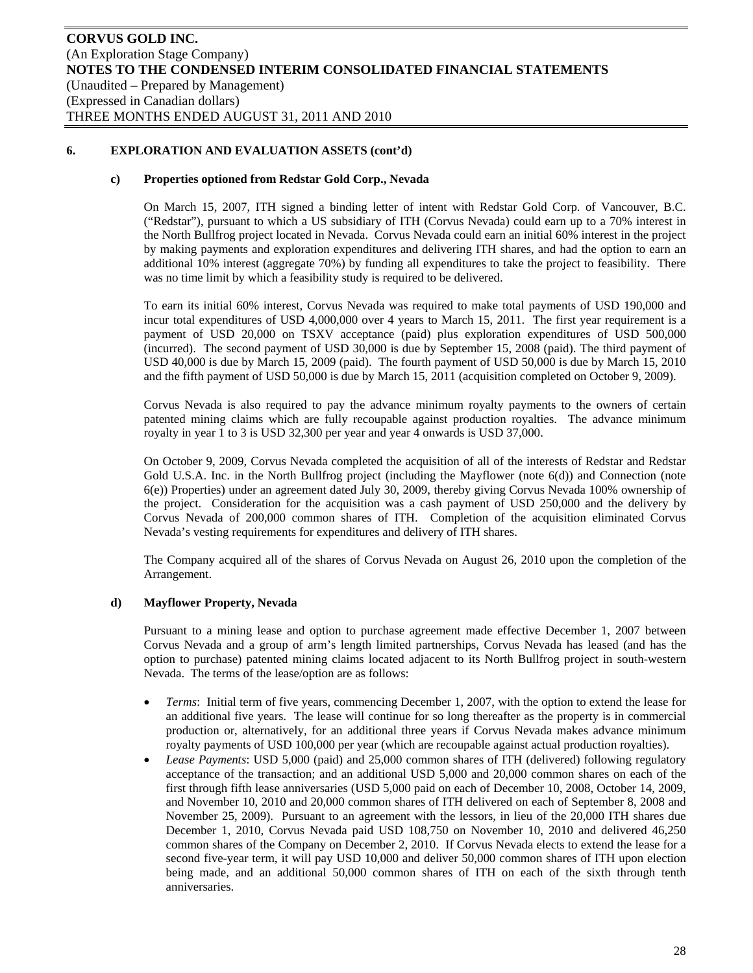#### **c) Properties optioned from Redstar Gold Corp., Nevada**

On March 15, 2007, ITH signed a binding letter of intent with Redstar Gold Corp. of Vancouver, B.C. ("Redstar"), pursuant to which a US subsidiary of ITH (Corvus Nevada) could earn up to a 70% interest in the North Bullfrog project located in Nevada. Corvus Nevada could earn an initial 60% interest in the project by making payments and exploration expenditures and delivering ITH shares, and had the option to earn an additional 10% interest (aggregate 70%) by funding all expenditures to take the project to feasibility. There was no time limit by which a feasibility study is required to be delivered.

To earn its initial 60% interest, Corvus Nevada was required to make total payments of USD 190,000 and incur total expenditures of USD 4,000,000 over 4 years to March 15, 2011. The first year requirement is a payment of USD 20,000 on TSXV acceptance (paid) plus exploration expenditures of USD 500,000 (incurred). The second payment of USD 30,000 is due by September 15, 2008 (paid). The third payment of USD 40,000 is due by March 15, 2009 (paid). The fourth payment of USD 50,000 is due by March 15, 2010 and the fifth payment of USD 50,000 is due by March 15, 2011 (acquisition completed on October 9, 2009).

Corvus Nevada is also required to pay the advance minimum royalty payments to the owners of certain patented mining claims which are fully recoupable against production royalties. The advance minimum royalty in year 1 to 3 is USD 32,300 per year and year 4 onwards is USD 37,000.

On October 9, 2009, Corvus Nevada completed the acquisition of all of the interests of Redstar and Redstar Gold U.S.A. Inc. in the North Bullfrog project (including the Mayflower (note 6(d)) and Connection (note 6(e)) Properties) under an agreement dated July 30, 2009, thereby giving Corvus Nevada 100% ownership of the project. Consideration for the acquisition was a cash payment of USD 250,000 and the delivery by Corvus Nevada of 200,000 common shares of ITH. Completion of the acquisition eliminated Corvus Nevada's vesting requirements for expenditures and delivery of ITH shares.

The Company acquired all of the shares of Corvus Nevada on August 26, 2010 upon the completion of the Arrangement.

#### **d) Mayflower Property, Nevada**

Pursuant to a mining lease and option to purchase agreement made effective December 1, 2007 between Corvus Nevada and a group of arm's length limited partnerships, Corvus Nevada has leased (and has the option to purchase) patented mining claims located adjacent to its North Bullfrog project in south-western Nevada. The terms of the lease/option are as follows:

- *Terms*: Initial term of five years, commencing December 1, 2007, with the option to extend the lease for an additional five years. The lease will continue for so long thereafter as the property is in commercial production or, alternatively, for an additional three years if Corvus Nevada makes advance minimum royalty payments of USD 100,000 per year (which are recoupable against actual production royalties).
- *Lease Payments*: USD 5,000 (paid) and 25,000 common shares of ITH (delivered) following regulatory acceptance of the transaction; and an additional USD 5,000 and 20,000 common shares on each of the first through fifth lease anniversaries (USD 5,000 paid on each of December 10, 2008, October 14, 2009, and November 10, 2010 and 20,000 common shares of ITH delivered on each of September 8, 2008 and November 25, 2009). Pursuant to an agreement with the lessors, in lieu of the 20,000 ITH shares due December 1, 2010, Corvus Nevada paid USD 108,750 on November 10, 2010 and delivered 46,250 common shares of the Company on December 2, 2010. If Corvus Nevada elects to extend the lease for a second five-year term, it will pay USD 10,000 and deliver 50,000 common shares of ITH upon election being made, and an additional 50,000 common shares of ITH on each of the sixth through tenth anniversaries.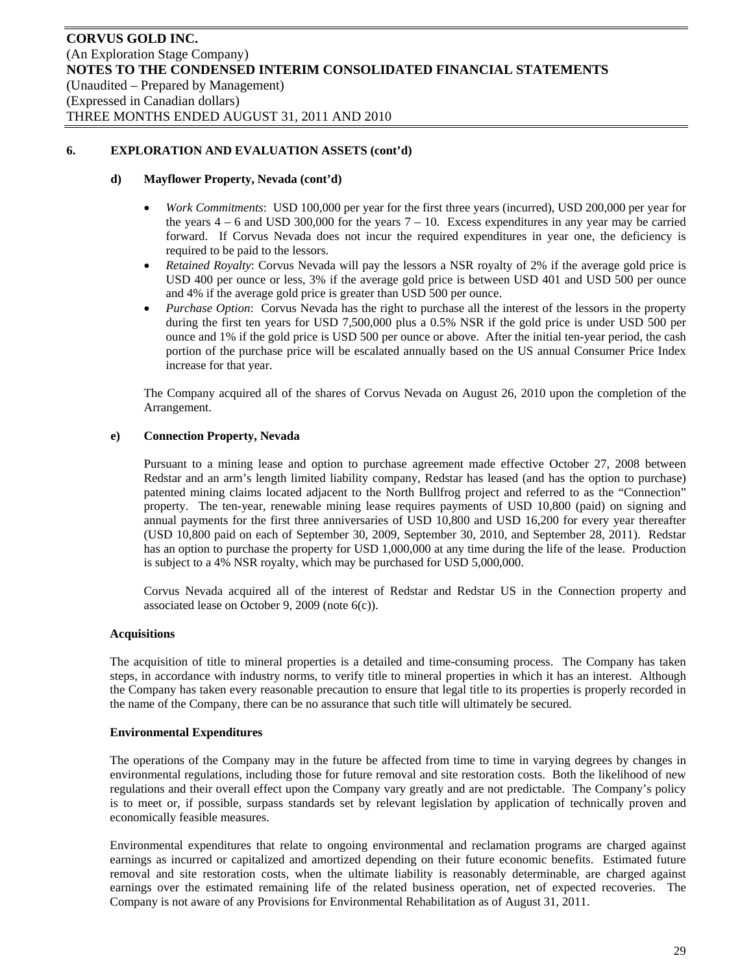#### **d) Mayflower Property, Nevada (cont'd)**

- *Work Commitments*: USD 100,000 per year for the first three years (incurred), USD 200,000 per year for the years  $4 - 6$  and USD 300,000 for the years  $7 - 10$ . Excess expenditures in any year may be carried forward. If Corvus Nevada does not incur the required expenditures in year one, the deficiency is required to be paid to the lessors.
- *Retained Royalty*: Corvus Nevada will pay the lessors a NSR royalty of 2% if the average gold price is USD 400 per ounce or less, 3% if the average gold price is between USD 401 and USD 500 per ounce and 4% if the average gold price is greater than USD 500 per ounce.
- *Purchase Option*: Corvus Nevada has the right to purchase all the interest of the lessors in the property during the first ten years for USD 7,500,000 plus a 0.5% NSR if the gold price is under USD 500 per ounce and 1% if the gold price is USD 500 per ounce or above. After the initial ten-year period, the cash portion of the purchase price will be escalated annually based on the US annual Consumer Price Index increase for that year.

The Company acquired all of the shares of Corvus Nevada on August 26, 2010 upon the completion of the Arrangement.

#### **e) Connection Property, Nevada**

Pursuant to a mining lease and option to purchase agreement made effective October 27, 2008 between Redstar and an arm's length limited liability company, Redstar has leased (and has the option to purchase) patented mining claims located adjacent to the North Bullfrog project and referred to as the "Connection" property. The ten-year, renewable mining lease requires payments of USD 10,800 (paid) on signing and annual payments for the first three anniversaries of USD 10,800 and USD 16,200 for every year thereafter (USD 10,800 paid on each of September 30, 2009, September 30, 2010, and September 28, 2011). Redstar has an option to purchase the property for USD 1,000,000 at any time during the life of the lease. Production is subject to a 4% NSR royalty, which may be purchased for USD 5,000,000.

Corvus Nevada acquired all of the interest of Redstar and Redstar US in the Connection property and associated lease on October 9, 2009 (note 6(c)).

#### **Acquisitions**

The acquisition of title to mineral properties is a detailed and time-consuming process. The Company has taken steps, in accordance with industry norms, to verify title to mineral properties in which it has an interest. Although the Company has taken every reasonable precaution to ensure that legal title to its properties is properly recorded in the name of the Company, there can be no assurance that such title will ultimately be secured.

#### **Environmental Expenditures**

The operations of the Company may in the future be affected from time to time in varying degrees by changes in environmental regulations, including those for future removal and site restoration costs. Both the likelihood of new regulations and their overall effect upon the Company vary greatly and are not predictable. The Company's policy is to meet or, if possible, surpass standards set by relevant legislation by application of technically proven and economically feasible measures.

Environmental expenditures that relate to ongoing environmental and reclamation programs are charged against earnings as incurred or capitalized and amortized depending on their future economic benefits. Estimated future removal and site restoration costs, when the ultimate liability is reasonably determinable, are charged against earnings over the estimated remaining life of the related business operation, net of expected recoveries. The Company is not aware of any Provisions for Environmental Rehabilitation as of August 31, 2011.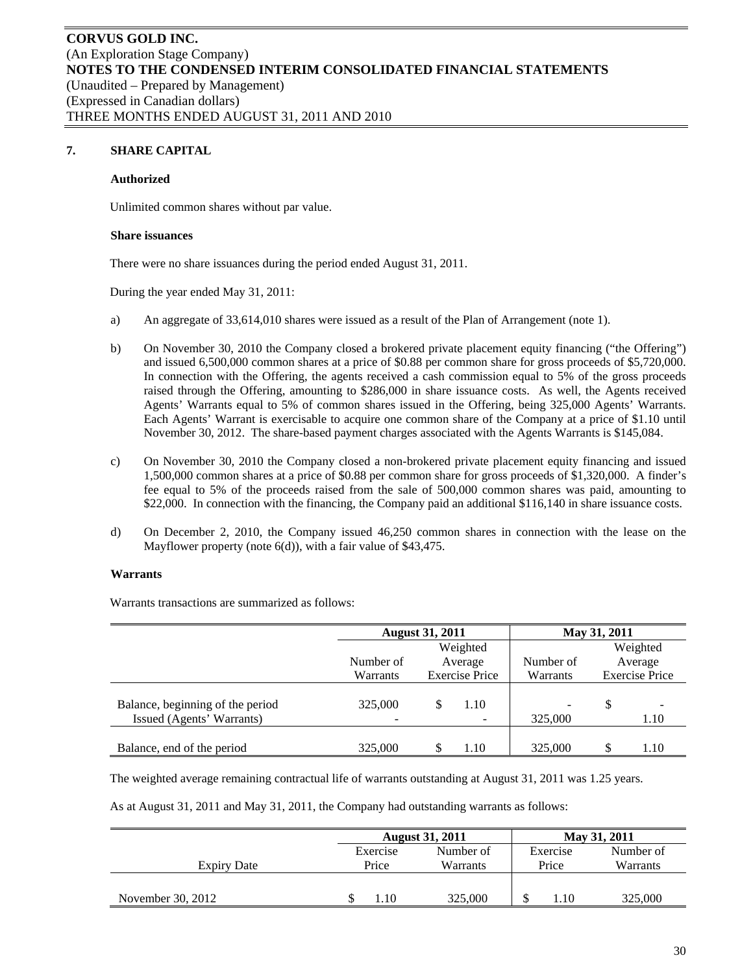## **7. SHARE CAPITAL**

#### **Authorized**

Unlimited common shares without par value.

#### **Share issuances**

There were no share issuances during the period ended August 31, 2011.

During the year ended May 31, 2011:

- a) An aggregate of 33,614,010 shares were issued as a result of the Plan of Arrangement (note 1).
- b) On November 30, 2010 the Company closed a brokered private placement equity financing ("the Offering") and issued 6,500,000 common shares at a price of \$0.88 per common share for gross proceeds of \$5,720,000. In connection with the Offering, the agents received a cash commission equal to 5% of the gross proceeds raised through the Offering, amounting to \$286,000 in share issuance costs. As well, the Agents received Agents' Warrants equal to 5% of common shares issued in the Offering, being 325,000 Agents' Warrants. Each Agents' Warrant is exercisable to acquire one common share of the Company at a price of \$1.10 until November 30, 2012. The share-based payment charges associated with the Agents Warrants is \$145,084.
- c) On November 30, 2010 the Company closed a non-brokered private placement equity financing and issued 1,500,000 common shares at a price of \$0.88 per common share for gross proceeds of \$1,320,000. A finder's fee equal to 5% of the proceeds raised from the sale of 500,000 common shares was paid, amounting to \$22,000. In connection with the financing, the Company paid an additional \$116,140 in share issuance costs.
- d) On December 2, 2010, the Company issued 46,250 common shares in connection with the lease on the Mayflower property (note 6(d)), with a fair value of \$43,475.

#### **Warrants**

Warrants transactions are summarized as follows:

|                                                               |              | <b>August 31, 2011</b> |                                  | May 31, 2011 |   |                 |  |                       |
|---------------------------------------------------------------|--------------|------------------------|----------------------------------|--------------|---|-----------------|--|-----------------------|
|                                                               |              | Weighted               |                                  |              |   | Weighted        |  |                       |
|                                                               | Number of    | Average                |                                  |              |   | Number of       |  | Average               |
|                                                               | Warrants     | <b>Exercise Price</b>  |                                  |              |   | <b>Warrants</b> |  | <b>Exercise Price</b> |
| Balance, beginning of the period<br>Issued (Agents' Warrants) | 325,000<br>- |                        | 1.10<br>$\overline{\phantom{a}}$ | ۰<br>325,000 | S | 1.10            |  |                       |
| Balance, end of the period                                    | 325,000      |                        | 1.10                             | 325,000      |   | 1.10            |  |                       |

The weighted average remaining contractual life of warrants outstanding at August 31, 2011 was 1.25 years.

As at August 31, 2011 and May 31, 2011, the Company had outstanding warrants as follows:

|                   |          | <b>August 31, 2011</b> |          | May 31, 2011 |
|-------------------|----------|------------------------|----------|--------------|
|                   | Exercise | Number of              | Exercise | Number of    |
| Expiry Date       | Price    | Warrants               | Price    | Warrants     |
|                   |          |                        |          |              |
| November 30, 2012 | .10      | 325,000                | 1.10     | 325,000      |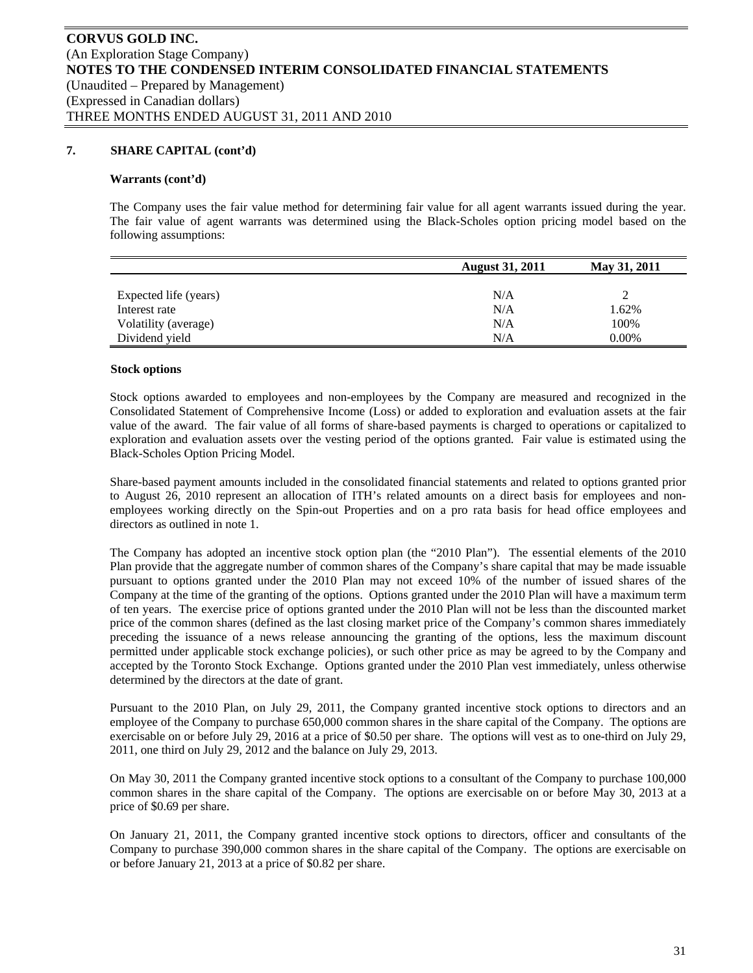## **7. SHARE CAPITAL (cont'd)**

#### **Warrants (cont'd)**

The Company uses the fair value method for determining fair value for all agent warrants issued during the year. The fair value of agent warrants was determined using the Black-Scholes option pricing model based on the following assumptions:

|                       | <b>August 31, 2011</b> | May 31, 2011 |
|-----------------------|------------------------|--------------|
|                       |                        |              |
| Expected life (years) | N/A                    |              |
| Interest rate         | N/A                    | 1.62%        |
| Volatility (average)  | N/A                    | 100%         |
| Dividend yield        | N/A                    | 0.00%        |

#### **Stock options**

Stock options awarded to employees and non-employees by the Company are measured and recognized in the Consolidated Statement of Comprehensive Income (Loss) or added to exploration and evaluation assets at the fair value of the award. The fair value of all forms of share-based payments is charged to operations or capitalized to exploration and evaluation assets over the vesting period of the options granted. Fair value is estimated using the Black-Scholes Option Pricing Model.

Share-based payment amounts included in the consolidated financial statements and related to options granted prior to August 26, 2010 represent an allocation of ITH's related amounts on a direct basis for employees and nonemployees working directly on the Spin-out Properties and on a pro rata basis for head office employees and directors as outlined in note 1.

The Company has adopted an incentive stock option plan (the "2010 Plan"). The essential elements of the 2010 Plan provide that the aggregate number of common shares of the Company's share capital that may be made issuable pursuant to options granted under the 2010 Plan may not exceed 10% of the number of issued shares of the Company at the time of the granting of the options. Options granted under the 2010 Plan will have a maximum term of ten years. The exercise price of options granted under the 2010 Plan will not be less than the discounted market price of the common shares (defined as the last closing market price of the Company's common shares immediately preceding the issuance of a news release announcing the granting of the options, less the maximum discount permitted under applicable stock exchange policies), or such other price as may be agreed to by the Company and accepted by the Toronto Stock Exchange. Options granted under the 2010 Plan vest immediately, unless otherwise determined by the directors at the date of grant.

Pursuant to the 2010 Plan, on July 29, 2011, the Company granted incentive stock options to directors and an employee of the Company to purchase 650,000 common shares in the share capital of the Company. The options are exercisable on or before July 29, 2016 at a price of \$0.50 per share. The options will vest as to one-third on July 29, 2011, one third on July 29, 2012 and the balance on July 29, 2013.

On May 30, 2011 the Company granted incentive stock options to a consultant of the Company to purchase 100,000 common shares in the share capital of the Company. The options are exercisable on or before May 30, 2013 at a price of \$0.69 per share.

On January 21, 2011, the Company granted incentive stock options to directors, officer and consultants of the Company to purchase 390,000 common shares in the share capital of the Company. The options are exercisable on or before January 21, 2013 at a price of \$0.82 per share.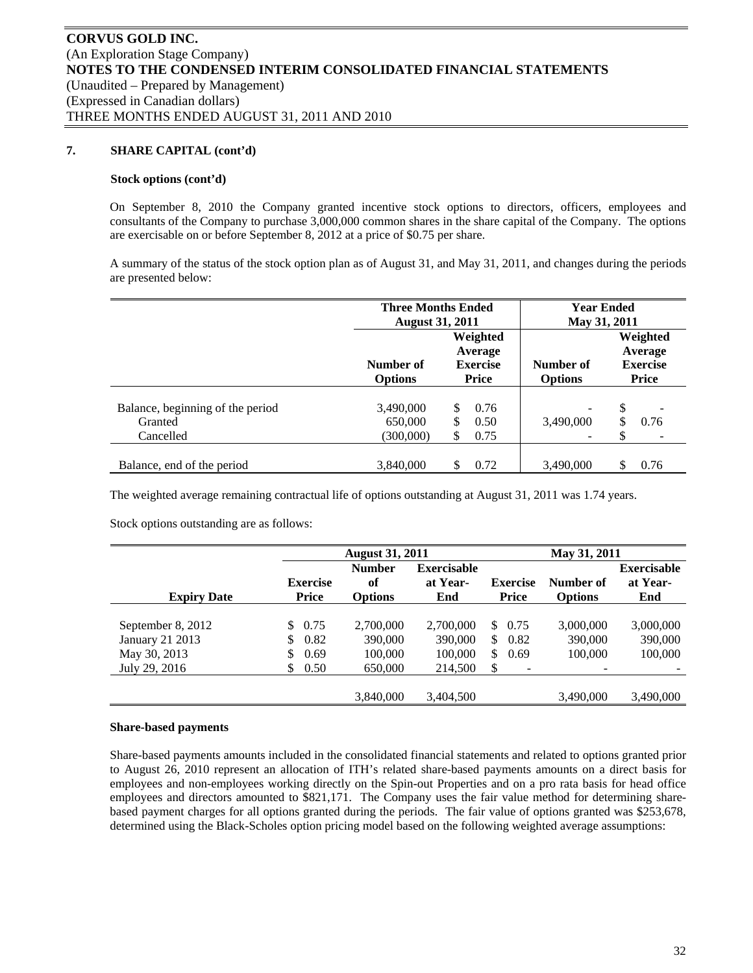## **7. SHARE CAPITAL (cont'd)**

#### **Stock options (cont'd)**

On September 8, 2010 the Company granted incentive stock options to directors, officers, employees and consultants of the Company to purchase 3,000,000 common shares in the share capital of the Company. The options are exercisable on or before September 8, 2012 at a price of \$0.75 per share.

A summary of the status of the stock option plan as of August 31, and May 31, 2011, and changes during the periods are presented below:

|                                                          | <b>Three Months Ended</b><br><b>August 31, 2011</b> |                                                        | <b>Year Ended</b><br>May 31, 2011          |                                                        |
|----------------------------------------------------------|-----------------------------------------------------|--------------------------------------------------------|--------------------------------------------|--------------------------------------------------------|
|                                                          | Number of<br><b>Options</b>                         | Weighted<br>Average<br><b>Exercise</b><br><b>Price</b> | Number of<br><b>Options</b>                | Weighted<br>Average<br><b>Exercise</b><br><b>Price</b> |
| Balance, beginning of the period<br>Granted<br>Cancelled | 3,490,000<br>650,000<br>(300,000)                   | 0.76<br>0.50<br>S<br>0.75<br>S                         | $\overline{\phantom{a}}$<br>3,490,000<br>۰ | \$<br>0.76<br>S                                        |
| Balance, end of the period                               | 3,840,000                                           | 0.72                                                   | 3,490,000                                  | 0.76<br>S                                              |

The weighted average remaining contractual life of options outstanding at August 31, 2011 was 1.74 years.

Stock options outstanding are as follows:

|                    |                 | <b>August 31, 2011</b> |                    |                 | May 31, 2011             |                    |
|--------------------|-----------------|------------------------|--------------------|-----------------|--------------------------|--------------------|
|                    |                 | <b>Number</b>          | <b>Exercisable</b> |                 |                          | <b>Exercisable</b> |
|                    | <b>Exercise</b> | of                     | at Year-           | <b>Exercise</b> | Number of                | at Year-           |
| <b>Expiry Date</b> | <b>Price</b>    | <b>Options</b>         | End                | Price           | <b>Options</b>           | End                |
|                    |                 |                        |                    |                 |                          |                    |
| September 8, 2012  | 0.75<br>\$.     | 2,700,000              | 2,700,000          | \$0.75          | 3,000,000                | 3,000,000          |
| January 21 2013    | 0.82<br>S       | 390,000                | 390,000            | 0.82<br>\$      | 390,000                  | 390,000            |
| May 30, 2013       | \$<br>0.69      | 100,000                | 100,000            | \$<br>0.69      | 100,000                  | 100,000            |
| July 29, 2016      | \$<br>0.50      | 650,000                | 214,500            | \$<br>-         | $\overline{\phantom{0}}$ |                    |
|                    |                 |                        |                    |                 |                          |                    |
|                    |                 | 3,840,000              | 3,404,500          |                 | 3.490.000                | 3,490,000          |

## **Share-based payments**

Share-based payments amounts included in the consolidated financial statements and related to options granted prior to August 26, 2010 represent an allocation of ITH's related share-based payments amounts on a direct basis for employees and non-employees working directly on the Spin-out Properties and on a pro rata basis for head office employees and directors amounted to \$821,171. The Company uses the fair value method for determining sharebased payment charges for all options granted during the periods. The fair value of options granted was \$253,678, determined using the Black-Scholes option pricing model based on the following weighted average assumptions: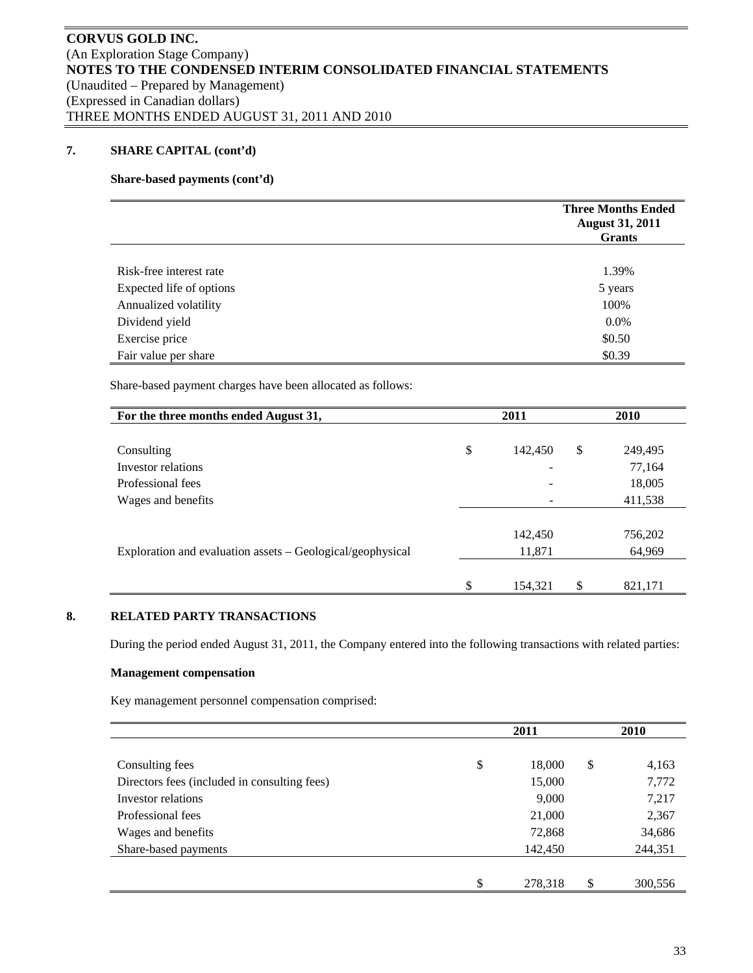# **7. SHARE CAPITAL (cont'd)**

## **Share-based payments (cont'd)**

|                          | <b>Three Months Ended</b><br><b>August 31, 2011</b><br><b>Grants</b> |
|--------------------------|----------------------------------------------------------------------|
|                          |                                                                      |
| Risk-free interest rate  | 1.39%                                                                |
| Expected life of options | 5 years                                                              |
| Annualized volatility    | 100%                                                                 |
| Dividend yield           | 0.0%                                                                 |
| Exercise price           | \$0.50                                                               |
| Fair value per share     | \$0.39                                                               |

Share-based payment charges have been allocated as follows:

| For the three months ended August 31,                      | 2011                     | <b>2010</b>   |  |  |
|------------------------------------------------------------|--------------------------|---------------|--|--|
|                                                            |                          |               |  |  |
| Consulting                                                 | \$<br>142,450            | \$<br>249,495 |  |  |
| Investor relations                                         | $\overline{\phantom{0}}$ | 77,164        |  |  |
| Professional fees                                          |                          | 18,005        |  |  |
| Wages and benefits                                         |                          | 411,538       |  |  |
|                                                            |                          |               |  |  |
|                                                            | 142,450                  | 756,202       |  |  |
| Exploration and evaluation assets – Geological/geophysical | 11,871                   | 64,969        |  |  |
|                                                            |                          |               |  |  |
|                                                            | \$<br>154,321            | \$<br>821,171 |  |  |

# **8. RELATED PARTY TRANSACTIONS**

During the period ended August 31, 2011, the Company entered into the following transactions with related parties:

## **Management compensation**

Key management personnel compensation comprised:

|                                              | 2011          | <b>2010</b>   |
|----------------------------------------------|---------------|---------------|
|                                              |               |               |
| Consulting fees                              | \$<br>18,000  | \$<br>4,163   |
| Directors fees (included in consulting fees) | 15,000        | 7,772         |
| Investor relations                           | 9,000         | 7,217         |
| Professional fees                            | 21,000        | 2,367         |
| Wages and benefits                           | 72,868        | 34,686        |
| Share-based payments                         | 142,450       | 244,351       |
|                                              |               |               |
|                                              | \$<br>278,318 | \$<br>300,556 |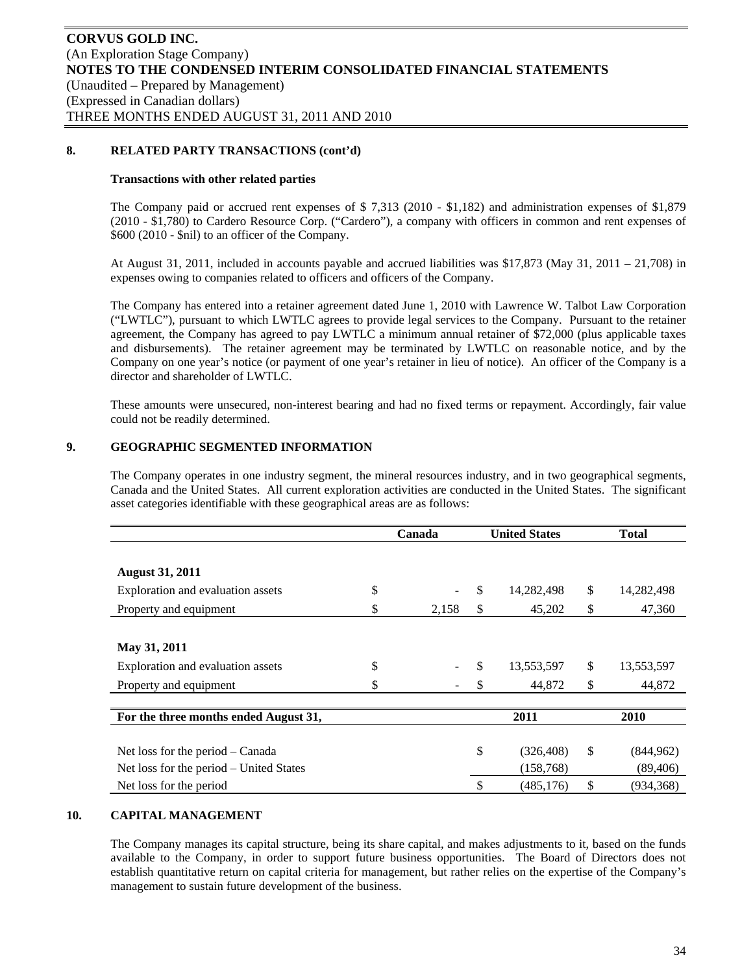## **8. RELATED PARTY TRANSACTIONS (cont'd)**

#### **Transactions with other related parties**

The Company paid or accrued rent expenses of \$ 7,313 (2010 - \$1,182) and administration expenses of \$1,879 (2010 - \$1,780) to Cardero Resource Corp. ("Cardero"), a company with officers in common and rent expenses of \$600 (2010 - \$nil) to an officer of the Company.

At August 31, 2011, included in accounts payable and accrued liabilities was  $$17,873$  (May 31, 2011 – 21,708) in expenses owing to companies related to officers and officers of the Company.

The Company has entered into a retainer agreement dated June 1, 2010 with Lawrence W. Talbot Law Corporation ("LWTLC"), pursuant to which LWTLC agrees to provide legal services to the Company. Pursuant to the retainer agreement, the Company has agreed to pay LWTLC a minimum annual retainer of \$72,000 (plus applicable taxes and disbursements). The retainer agreement may be terminated by LWTLC on reasonable notice, and by the Company on one year's notice (or payment of one year's retainer in lieu of notice). An officer of the Company is a director and shareholder of LWTLC.

These amounts were unsecured, non-interest bearing and had no fixed terms or repayment. Accordingly, fair value could not be readily determined.

## **9. GEOGRAPHIC SEGMENTED INFORMATION**

The Company operates in one industry segment, the mineral resources industry, and in two geographical segments, Canada and the United States. All current exploration activities are conducted in the United States. The significant asset categories identifiable with these geographical areas are as follows:

|                                         | Canada      | <b>United States</b> | <b>Total</b>     |
|-----------------------------------------|-------------|----------------------|------------------|
|                                         |             |                      |                  |
| <b>August 31, 2011</b>                  |             |                      |                  |
| Exploration and evaluation assets       | \$          | \$<br>14,282,498     | \$<br>14,282,498 |
| Property and equipment                  | \$<br>2,158 | \$<br>45,202         | \$<br>47,360     |
|                                         |             |                      |                  |
| May 31, 2011                            |             |                      |                  |
| Exploration and evaluation assets       | \$          | \$<br>13,553,597     | \$<br>13,553,597 |
| Property and equipment                  |             | 44,872               | \$<br>44,872     |
|                                         |             |                      |                  |
| For the three months ended August 31,   |             | 2011                 | 2010             |
|                                         |             |                      |                  |
| Net loss for the period – Canada        |             | \$<br>(326, 408)     | \$<br>(844, 962) |
| Net loss for the period – United States |             | (158, 768)           | (89, 406)        |
| Net loss for the period                 |             | \$<br>(485, 176)     | \$<br>(934,368)  |

## **10. CAPITAL MANAGEMENT**

The Company manages its capital structure, being its share capital, and makes adjustments to it, based on the funds available to the Company, in order to support future business opportunities. The Board of Directors does not establish quantitative return on capital criteria for management, but rather relies on the expertise of the Company's management to sustain future development of the business.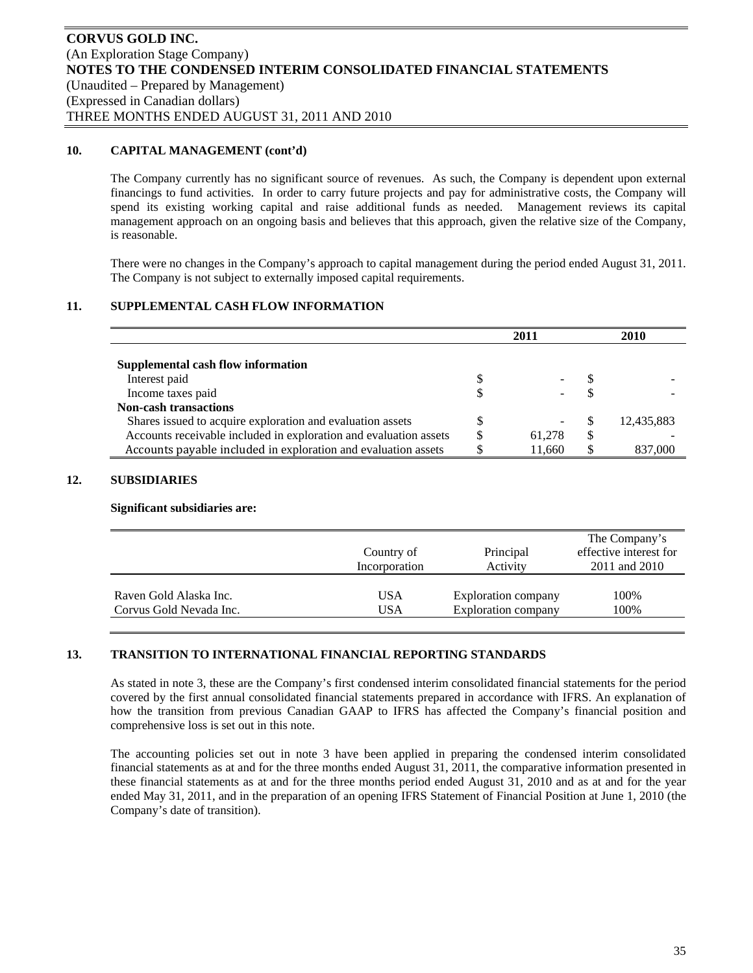## **10. CAPITAL MANAGEMENT (cont'd)**

The Company currently has no significant source of revenues. As such, the Company is dependent upon external financings to fund activities. In order to carry future projects and pay for administrative costs, the Company will spend its existing working capital and raise additional funds as needed. Management reviews its capital management approach on an ongoing basis and believes that this approach, given the relative size of the Company, is reasonable.

There were no changes in the Company's approach to capital management during the period ended August 31, 2011. The Company is not subject to externally imposed capital requirements.

## **11. SUPPLEMENTAL CASH FLOW INFORMATION**

|                                                                   | 2011         |   | 2010       |
|-------------------------------------------------------------------|--------------|---|------------|
|                                                                   |              |   |            |
| Supplemental cash flow information                                |              |   |            |
| Interest paid                                                     |              |   |            |
| Income taxes paid                                                 |              |   |            |
| <b>Non-cash transactions</b>                                      |              |   |            |
| Shares issued to acquire exploration and evaluation assets        |              |   | 12,435,883 |
| Accounts receivable included in exploration and evaluation assets | \$<br>61.278 | S |            |
| Accounts payable included in exploration and evaluation assets    | 11,660       | S | 837,000    |

## **12. SUBSIDIARIES**

#### **Significant subsidiaries are:**

|                         | Country of<br>Incorporation | Principal<br>Activity      | The Company's<br>effective interest for<br>2011 and 2010 |
|-------------------------|-----------------------------|----------------------------|----------------------------------------------------------|
| Raven Gold Alaska Inc.  | USA                         | <b>Exploration company</b> | 100%                                                     |
| Corvus Gold Nevada Inc. | <b>USA</b>                  | Exploration company        | 100%                                                     |

#### **13. TRANSITION TO INTERNATIONAL FINANCIAL REPORTING STANDARDS**

As stated in note 3, these are the Company's first condensed interim consolidated financial statements for the period covered by the first annual consolidated financial statements prepared in accordance with IFRS. An explanation of how the transition from previous Canadian GAAP to IFRS has affected the Company's financial position and comprehensive loss is set out in this note.

The accounting policies set out in note 3 have been applied in preparing the condensed interim consolidated financial statements as at and for the three months ended August 31, 2011, the comparative information presented in these financial statements as at and for the three months period ended August 31, 2010 and as at and for the year ended May 31, 2011, and in the preparation of an opening IFRS Statement of Financial Position at June 1, 2010 (the Company's date of transition).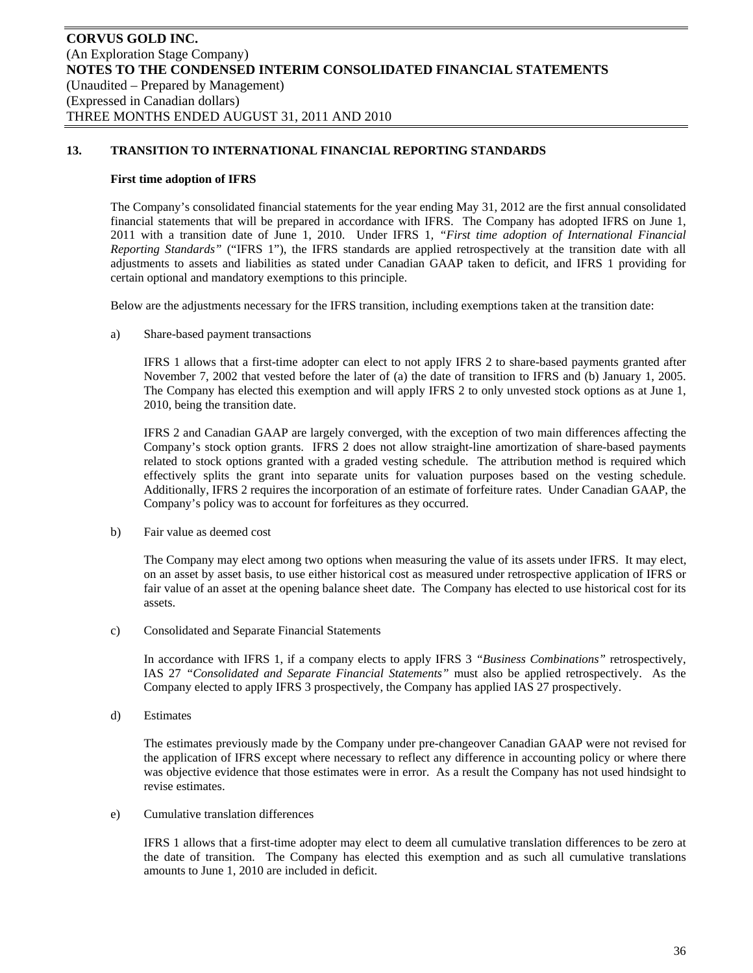## **First time adoption of IFRS**

The Company's consolidated financial statements for the year ending May 31, 2012 are the first annual consolidated financial statements that will be prepared in accordance with IFRS. The Company has adopted IFRS on June 1, 2011 with a transition date of June 1, 2010. Under IFRS 1*, "First time adoption of International Financial Reporting Standards"* ("IFRS 1"), the IFRS standards are applied retrospectively at the transition date with all adjustments to assets and liabilities as stated under Canadian GAAP taken to deficit, and IFRS 1 providing for certain optional and mandatory exemptions to this principle.

Below are the adjustments necessary for the IFRS transition, including exemptions taken at the transition date:

a) Share-based payment transactions

IFRS 1 allows that a first-time adopter can elect to not apply IFRS 2 to share-based payments granted after November 7, 2002 that vested before the later of (a) the date of transition to IFRS and (b) January 1, 2005. The Company has elected this exemption and will apply IFRS 2 to only unvested stock options as at June 1, 2010, being the transition date.

IFRS 2 and Canadian GAAP are largely converged, with the exception of two main differences affecting the Company's stock option grants. IFRS 2 does not allow straight-line amortization of share-based payments related to stock options granted with a graded vesting schedule. The attribution method is required which effectively splits the grant into separate units for valuation purposes based on the vesting schedule. Additionally, IFRS 2 requires the incorporation of an estimate of forfeiture rates. Under Canadian GAAP, the Company's policy was to account for forfeitures as they occurred.

b) Fair value as deemed cost

The Company may elect among two options when measuring the value of its assets under IFRS. It may elect, on an asset by asset basis, to use either historical cost as measured under retrospective application of IFRS or fair value of an asset at the opening balance sheet date. The Company has elected to use historical cost for its assets.

c) Consolidated and Separate Financial Statements

In accordance with IFRS 1, if a company elects to apply IFRS 3 *"Business Combinations"* retrospectively, IAS 27 *"Consolidated and Separate Financial Statements"* must also be applied retrospectively. As the Company elected to apply IFRS 3 prospectively, the Company has applied IAS 27 prospectively.

d) Estimates

The estimates previously made by the Company under pre-changeover Canadian GAAP were not revised for the application of IFRS except where necessary to reflect any difference in accounting policy or where there was objective evidence that those estimates were in error. As a result the Company has not used hindsight to revise estimates.

e) Cumulative translation differences

IFRS 1 allows that a first-time adopter may elect to deem all cumulative translation differences to be zero at the date of transition. The Company has elected this exemption and as such all cumulative translations amounts to June 1, 2010 are included in deficit.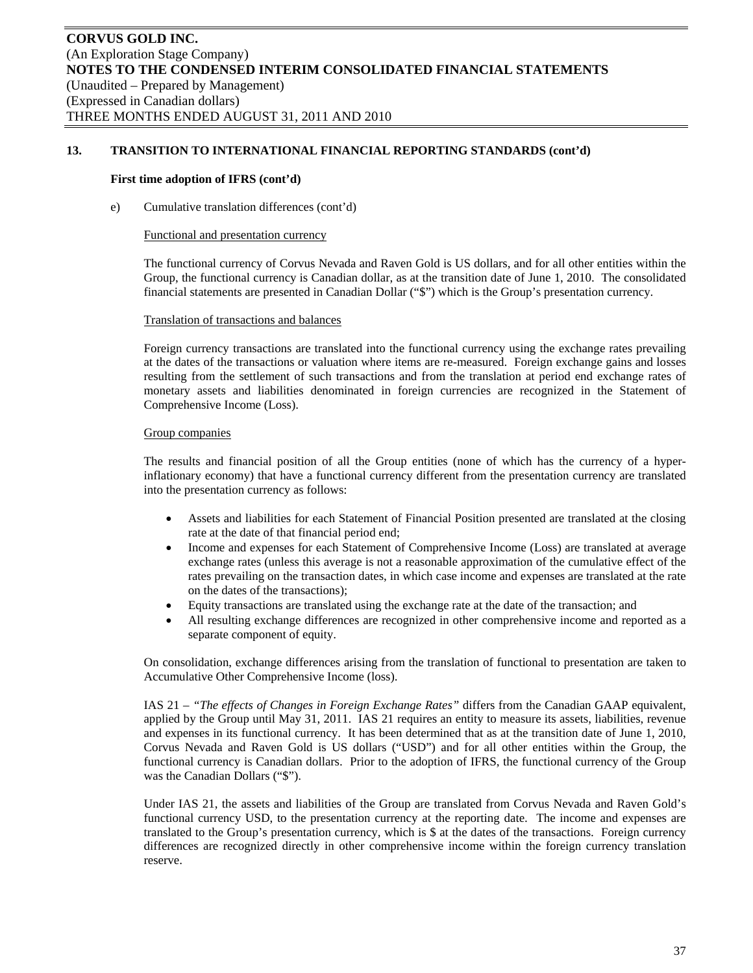#### **First time adoption of IFRS (cont'd)**

e) Cumulative translation differences (cont'd)

#### Functional and presentation currency

The functional currency of Corvus Nevada and Raven Gold is US dollars, and for all other entities within the Group, the functional currency is Canadian dollar, as at the transition date of June 1, 2010. The consolidated financial statements are presented in Canadian Dollar ("\$") which is the Group's presentation currency.

#### Translation of transactions and balances

Foreign currency transactions are translated into the functional currency using the exchange rates prevailing at the dates of the transactions or valuation where items are re-measured. Foreign exchange gains and losses resulting from the settlement of such transactions and from the translation at period end exchange rates of monetary assets and liabilities denominated in foreign currencies are recognized in the Statement of Comprehensive Income (Loss).

## Group companies

The results and financial position of all the Group entities (none of which has the currency of a hyperinflationary economy) that have a functional currency different from the presentation currency are translated into the presentation currency as follows:

- Assets and liabilities for each Statement of Financial Position presented are translated at the closing rate at the date of that financial period end;
- Income and expenses for each Statement of Comprehensive Income (Loss) are translated at average exchange rates (unless this average is not a reasonable approximation of the cumulative effect of the rates prevailing on the transaction dates, in which case income and expenses are translated at the rate on the dates of the transactions);
- Equity transactions are translated using the exchange rate at the date of the transaction; and
- All resulting exchange differences are recognized in other comprehensive income and reported as a separate component of equity.

On consolidation, exchange differences arising from the translation of functional to presentation are taken to Accumulative Other Comprehensive Income (loss).

IAS 21 – *"The effects of Changes in Foreign Exchange Rates"* differs from the Canadian GAAP equivalent, applied by the Group until May 31, 2011. IAS 21 requires an entity to measure its assets, liabilities, revenue and expenses in its functional currency. It has been determined that as at the transition date of June 1, 2010, Corvus Nevada and Raven Gold is US dollars ("USD") and for all other entities within the Group, the functional currency is Canadian dollars. Prior to the adoption of IFRS, the functional currency of the Group was the Canadian Dollars ("\$").

Under IAS 21, the assets and liabilities of the Group are translated from Corvus Nevada and Raven Gold's functional currency USD, to the presentation currency at the reporting date. The income and expenses are translated to the Group's presentation currency, which is \$ at the dates of the transactions. Foreign currency differences are recognized directly in other comprehensive income within the foreign currency translation reserve.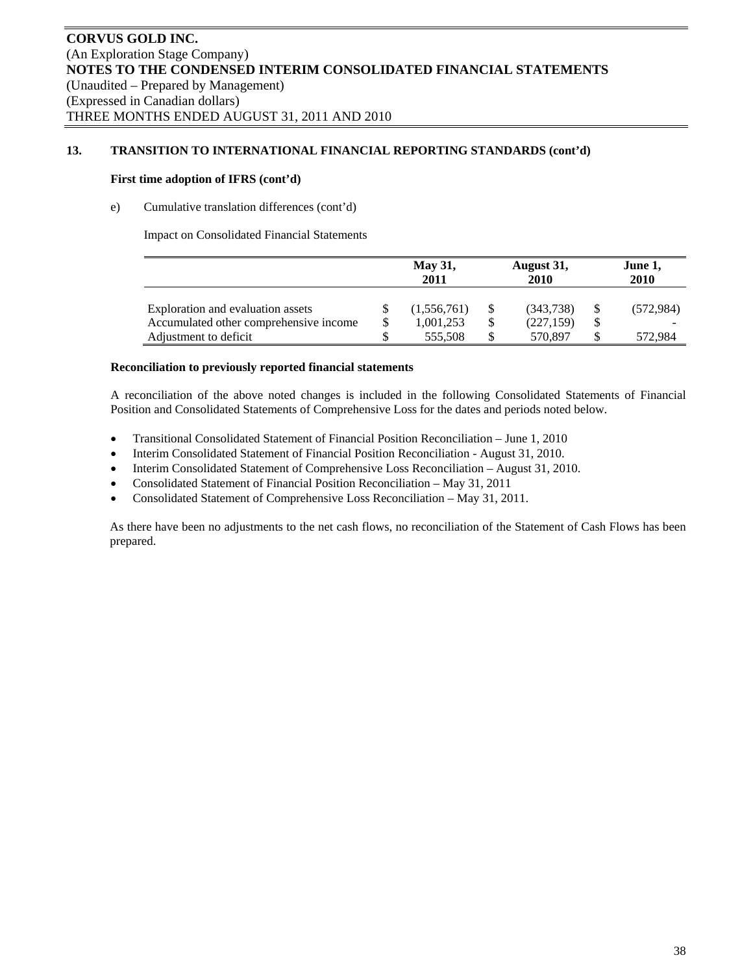## **First time adoption of IFRS (cont'd)**

## e) Cumulative translation differences (cont'd)

Impact on Consolidated Financial Statements

|                                        | <b>May 31,</b><br>2011 |    | August 31,<br>2010 | June 1,<br>2010 |            |  |
|----------------------------------------|------------------------|----|--------------------|-----------------|------------|--|
| Exploration and evaluation assets      | (1,556,761)            | S  | (343,738)          |                 | (572, 984) |  |
| Accumulated other comprehensive income | 1,001,253              | \$ | (227, 159)         |                 |            |  |
| Adjustment to deficit                  | 555,508                |    | 570.897            |                 | 572.984    |  |

#### **Reconciliation to previously reported financial statements**

A reconciliation of the above noted changes is included in the following Consolidated Statements of Financial Position and Consolidated Statements of Comprehensive Loss for the dates and periods noted below.

- Transitional Consolidated Statement of Financial Position Reconciliation June 1, 2010
- Interim Consolidated Statement of Financial Position Reconciliation August 31, 2010.
- Interim Consolidated Statement of Comprehensive Loss Reconciliation August 31, 2010.
- Consolidated Statement of Financial Position Reconciliation May 31, 2011
- Consolidated Statement of Comprehensive Loss Reconciliation May 31, 2011.

As there have been no adjustments to the net cash flows, no reconciliation of the Statement of Cash Flows has been prepared.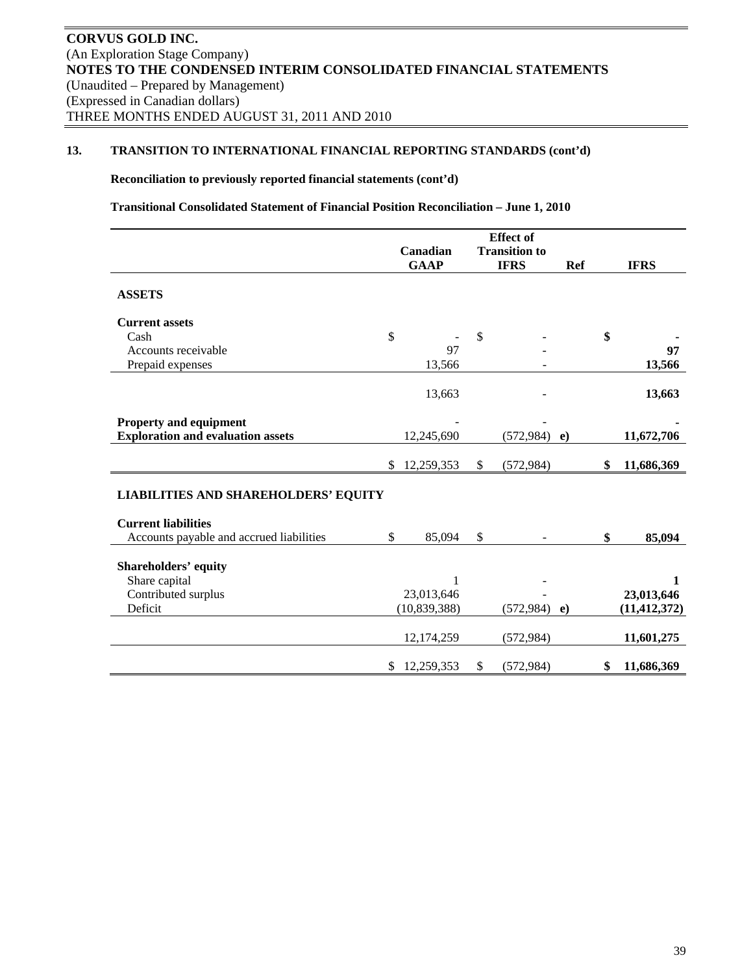## **Reconciliation to previously reported financial statements (cont'd)**

**Transitional Consolidated Statement of Financial Position Reconciliation – June 1, 2010** 

|                                             | <b>Effect</b> of |                |               |                      |            |    |                |
|---------------------------------------------|------------------|----------------|---------------|----------------------|------------|----|----------------|
|                                             |                  | Canadian       |               | <b>Transition to</b> |            |    |                |
|                                             |                  | <b>GAAP</b>    |               | <b>IFRS</b>          | <b>Ref</b> |    | <b>IFRS</b>    |
| <b>ASSETS</b>                               |                  |                |               |                      |            |    |                |
| <b>Current assets</b>                       |                  |                |               |                      |            |    |                |
| Cash                                        | \$               |                | $\mathcal{S}$ |                      |            | \$ |                |
| Accounts receivable                         |                  | 97             |               |                      |            |    | 97             |
| Prepaid expenses                            |                  | 13,566         |               |                      |            |    | 13,566         |
|                                             |                  | 13,663         |               |                      |            |    | 13,663         |
| <b>Property and equipment</b>               |                  |                |               |                      |            |    |                |
| <b>Exploration and evaluation assets</b>    |                  | 12,245,690     |               | (572, 984)           | $\bf e)$   |    | 11,672,706     |
|                                             |                  |                |               |                      |            |    |                |
|                                             |                  | \$12,259,353   | \$            | (572, 984)           |            | \$ | 11,686,369     |
| <b>LIABILITIES AND SHAREHOLDERS' EQUITY</b> |                  |                |               |                      |            |    |                |
| <b>Current liabilities</b>                  |                  |                |               |                      |            |    |                |
| Accounts payable and accrued liabilities    | \$               | 85,094         | $\mathbb{S}$  |                      |            | \$ | 85,094         |
| <b>Shareholders' equity</b>                 |                  |                |               |                      |            |    |                |
| Share capital                               |                  | 1              |               |                      |            |    | $\mathbf{1}$   |
| Contributed surplus                         |                  | 23,013,646     |               |                      |            |    | 23,013,646     |
| Deficit                                     |                  | (10, 839, 388) |               | (572, 984)           | $\bf e)$   |    | (11, 412, 372) |
|                                             |                  |                |               |                      |            |    |                |
|                                             |                  | 12,174,259     |               | (572, 984)           |            |    | 11,601,275     |
|                                             | \$               | 12,259,353     | \$            | (572, 984)           |            | \$ | 11,686,369     |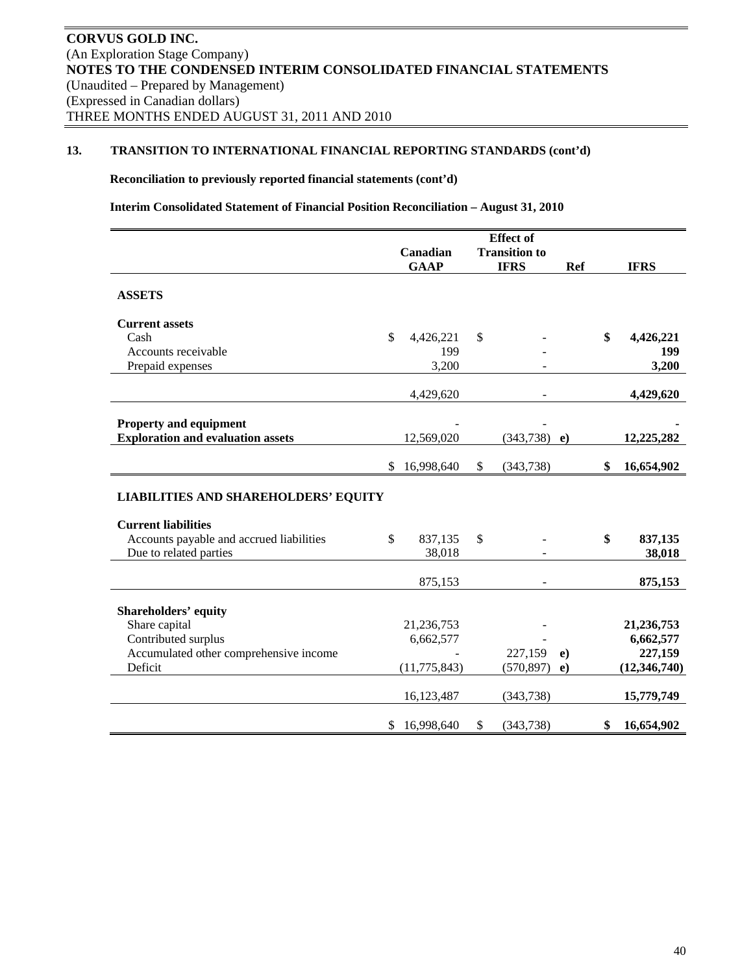**Reconciliation to previously reported financial statements (cont'd)** 

**Interim Consolidated Statement of Financial Position Reconciliation – August 31, 2010** 

|                                                                           | <b>Effect</b> of                 |                |    |                |            |                  |
|---------------------------------------------------------------------------|----------------------------------|----------------|----|----------------|------------|------------------|
|                                                                           | <b>Transition to</b><br>Canadian |                |    |                |            |                  |
|                                                                           |                                  | <b>GAAP</b>    |    | <b>IFRS</b>    | <b>Ref</b> | <b>IFRS</b>      |
|                                                                           |                                  |                |    |                |            |                  |
| <b>ASSETS</b>                                                             |                                  |                |    |                |            |                  |
| <b>Current assets</b>                                                     |                                  |                |    |                |            |                  |
| Cash                                                                      | \$                               | 4,426,221      | \$ |                |            | \$<br>4,426,221  |
| Accounts receivable                                                       |                                  | 199            |    |                |            | 199              |
| Prepaid expenses                                                          |                                  | 3,200          |    |                |            | 3,200            |
|                                                                           |                                  |                |    |                |            |                  |
|                                                                           |                                  | 4,429,620      |    | $\blacksquare$ |            | 4,429,620        |
| <b>Property and equipment</b>                                             |                                  |                |    |                |            |                  |
| <b>Exploration and evaluation assets</b>                                  |                                  | 12,569,020     |    | (343,738)      | $\epsilon$ | 12,225,282       |
|                                                                           |                                  |                |    |                |            |                  |
|                                                                           | \$                               | 16,998,640     | \$ | (343, 738)     |            | \$<br>16,654,902 |
| <b>LIABILITIES AND SHAREHOLDERS' EQUITY</b><br><b>Current liabilities</b> |                                  |                |    |                |            |                  |
| Accounts payable and accrued liabilities                                  | \$                               | 837,135        | \$ |                |            | \$<br>837,135    |
| Due to related parties                                                    |                                  | 38,018         |    |                |            | 38,018           |
|                                                                           |                                  |                |    |                |            |                  |
|                                                                           |                                  | 875,153        |    | $\blacksquare$ |            | 875,153          |
| <b>Shareholders' equity</b>                                               |                                  |                |    |                |            |                  |
| Share capital                                                             |                                  | 21,236,753     |    |                |            | 21,236,753       |
| Contributed surplus                                                       |                                  | 6,662,577      |    |                |            | 6,662,577        |
| Accumulated other comprehensive income                                    |                                  |                |    | 227,159        | $\bf{e}$   | 227,159          |
| Deficit                                                                   |                                  | (11, 775, 843) |    | (570, 897)     | $\bf{e}$   | (12, 346, 740)   |
|                                                                           |                                  | 16,123,487     |    | (343, 738)     |            | 15,779,749       |
|                                                                           | \$                               | 16,998,640     | \$ | (343, 738)     |            | \$<br>16,654,902 |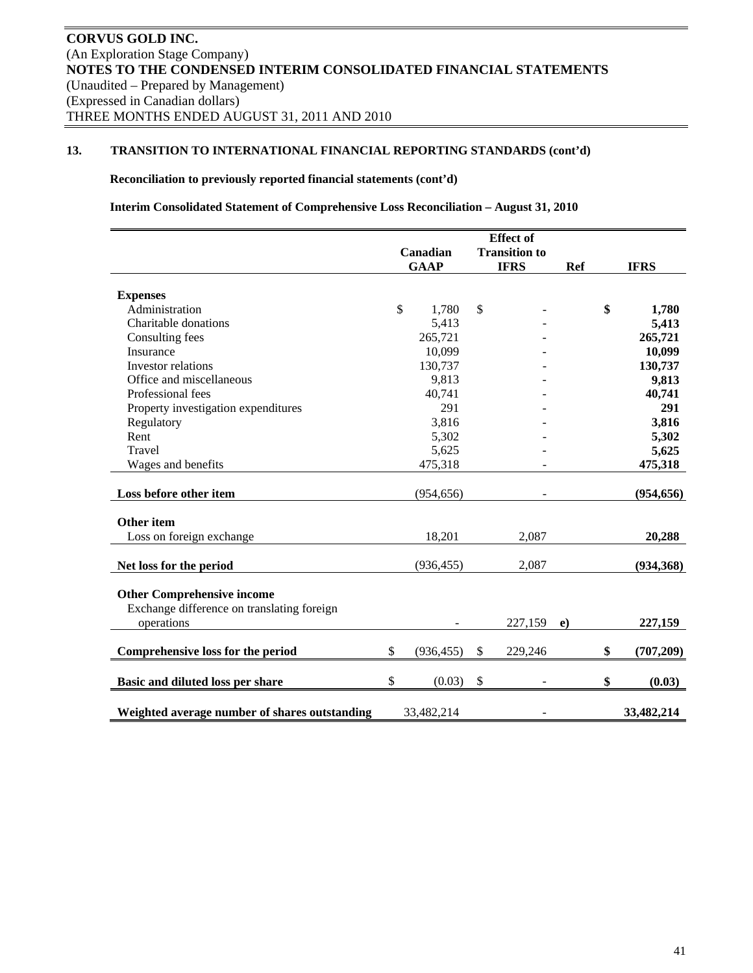## **Reconciliation to previously reported financial statements (cont'd)**

**Interim Consolidated Statement of Comprehensive Loss Reconciliation – August 31, 2010** 

|                                               | <b>Effect</b> of |             |            |             |                      |            |                  |
|-----------------------------------------------|------------------|-------------|------------|-------------|----------------------|------------|------------------|
|                                               |                  | Canadian    |            |             | <b>Transition to</b> |            |                  |
|                                               |                  | <b>GAAP</b> |            | <b>IFRS</b> |                      | <b>Ref</b> | <b>IFRS</b>      |
|                                               |                  |             |            |             |                      |            |                  |
| <b>Expenses</b>                               |                  |             |            |             |                      |            |                  |
| Administration                                | \$               |             | 1,780      | \$          |                      |            | \$<br>1,780      |
| Charitable donations                          |                  |             | 5,413      |             |                      |            | 5,413            |
| Consulting fees                               |                  |             | 265,721    |             |                      |            | 265,721          |
| Insurance                                     |                  |             | 10,099     |             |                      |            | 10,099           |
| Investor relations                            |                  |             | 130,737    |             |                      |            | 130,737          |
| Office and miscellaneous                      |                  |             | 9,813      |             |                      |            | 9,813            |
| Professional fees                             |                  |             | 40,741     |             |                      |            | 40,741           |
| Property investigation expenditures           |                  |             | 291        |             |                      |            | 291              |
| Regulatory                                    |                  |             | 3,816      |             |                      |            | 3,816            |
| Rent                                          |                  |             | 5,302      |             |                      |            | 5,302            |
| Travel                                        |                  |             | 5,625      |             |                      |            | 5,625            |
| Wages and benefits                            |                  |             | 475,318    |             |                      |            | 475,318          |
|                                               |                  |             |            |             |                      |            |                  |
| Loss before other item                        |                  |             | (954, 656) |             |                      |            | (954, 656)       |
|                                               |                  |             |            |             |                      |            |                  |
| <b>Other</b> item                             |                  |             |            |             |                      |            |                  |
| Loss on foreign exchange                      |                  |             | 18,201     |             | 2,087                |            | 20,288           |
|                                               |                  |             |            |             |                      |            |                  |
| Net loss for the period                       |                  |             | (936, 455) |             | 2,087                |            | (934, 368)       |
|                                               |                  |             |            |             |                      |            |                  |
| <b>Other Comprehensive income</b>             |                  |             |            |             |                      |            |                  |
| Exchange difference on translating foreign    |                  |             |            |             |                      |            |                  |
| operations                                    |                  |             |            |             | 227,159              | e)         | 227,159          |
|                                               |                  |             |            |             |                      |            |                  |
| Comprehensive loss for the period             | \$               |             | (936, 455) | \$          | 229,246              |            | \$<br>(707, 209) |
| Basic and diluted loss per share              | \$               |             | (0.03)     | \$          |                      |            | \$<br>(0.03)     |
|                                               |                  |             |            |             |                      |            |                  |
| Weighted average number of shares outstanding |                  | 33,482,214  |            |             |                      |            | 33,482,214       |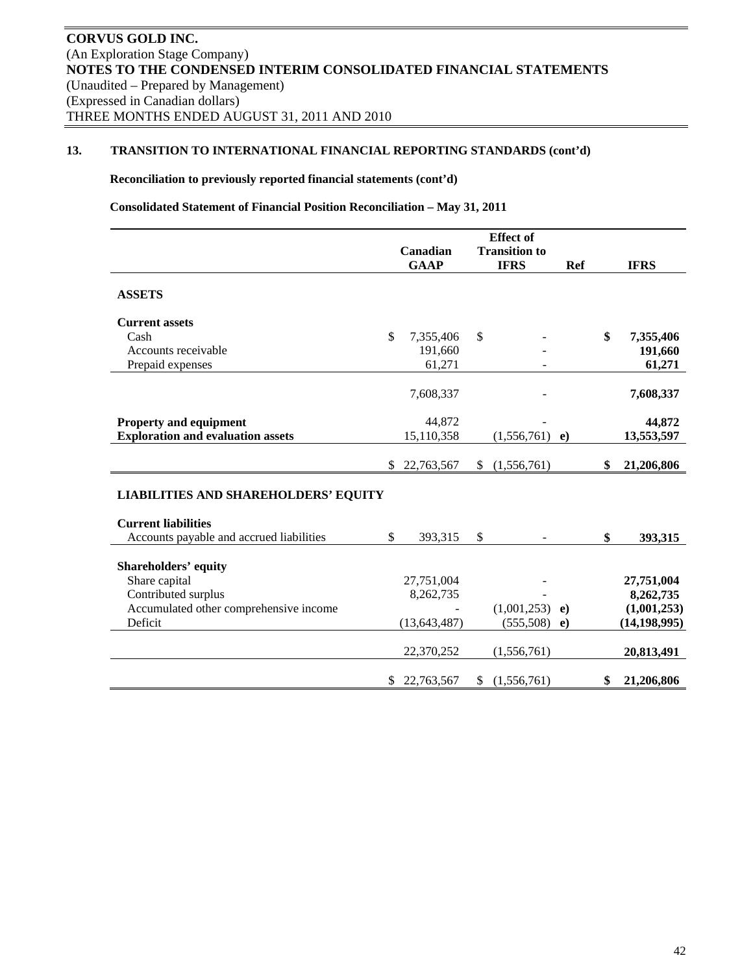## **Reconciliation to previously reported financial statements (cont'd)**

**Consolidated Statement of Financial Position Reconciliation – May 31, 2011** 

|                                             | <b>Effect</b> of |                |    |                      |          |    |                |
|---------------------------------------------|------------------|----------------|----|----------------------|----------|----|----------------|
|                                             |                  | Canadian       |    | <b>Transition to</b> |          |    |                |
|                                             |                  | <b>GAAP</b>    |    | <b>IFRS</b>          | Ref      |    | <b>IFRS</b>    |
| <b>ASSETS</b>                               |                  |                |    |                      |          |    |                |
| <b>Current assets</b>                       |                  |                |    |                      |          |    |                |
| Cash                                        | \$               | 7,355,406      | \$ |                      |          | \$ | 7,355,406      |
| Accounts receivable                         |                  | 191,660        |    |                      |          |    | 191,660        |
| Prepaid expenses                            |                  | 61,271         |    | $\overline{a}$       |          |    | 61,271         |
|                                             |                  | 7,608,337      |    |                      |          |    | 7,608,337      |
| <b>Property and equipment</b>               |                  | 44,872         |    |                      |          |    | 44,872         |
| <b>Exploration and evaluation assets</b>    |                  | 15,110,358     |    | (1,556,761)          | e)       |    | 13,553,597     |
|                                             | \$               | 22,763,567     | \$ | (1,556,761)          |          | \$ | 21,206,806     |
| <b>LIABILITIES AND SHAREHOLDERS' EQUITY</b> |                  |                |    |                      |          |    |                |
| <b>Current liabilities</b>                  |                  |                |    |                      |          |    |                |
| Accounts payable and accrued liabilities    | $\mathbb{S}$     | 393,315        | \$ |                      |          | \$ | 393,315        |
| <b>Shareholders' equity</b>                 |                  |                |    |                      |          |    |                |
| Share capital                               |                  | 27,751,004     |    |                      |          |    | 27,751,004     |
| Contributed surplus                         |                  | 8,262,735      |    |                      |          |    | 8,262,735      |
| Accumulated other comprehensive income      |                  |                |    | $(1,001,253)$ e)     |          |    | (1,001,253)    |
| Deficit                                     |                  | (13, 643, 487) |    | (555,508)            | $\bf e)$ |    | (14, 198, 995) |
|                                             |                  | 22,370,252     |    | (1,556,761)          |          |    | 20,813,491     |
|                                             | \$               | 22,763,567     | \$ | (1,556,761)          |          | \$ | 21,206,806     |